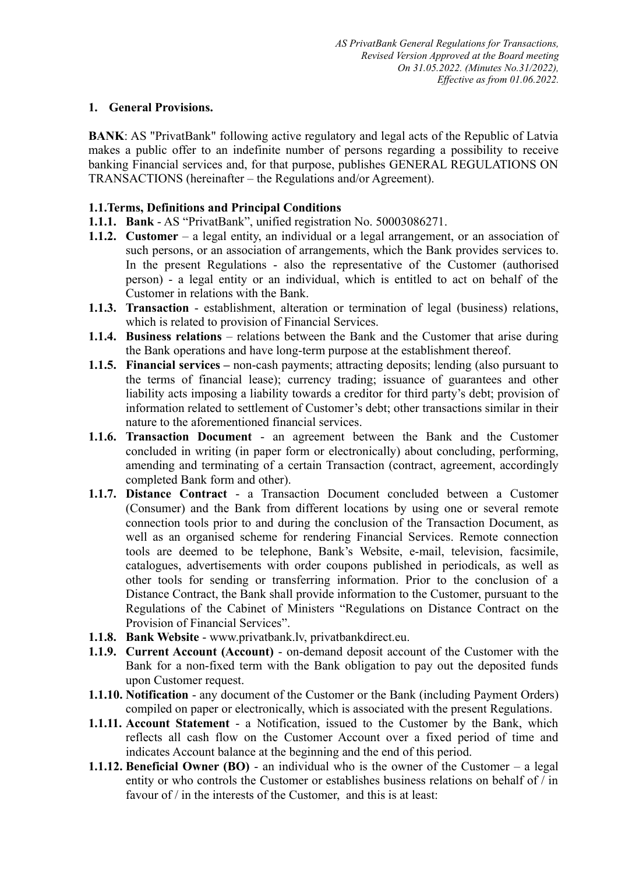### **1. General Provisions.**

**BANK:** AS "PrivatBank" following active regulatory and legal acts of the Republic of Latvia makes a public offer to an indefinite number of persons regarding a possibility to receive banking Financial services and, for that purpose, publishes GENERAL REGULATIONS ON TRANSACTIONS (hereinafter – the Regulations and/or Agreement).

### **1.1.Terms, Definitions and Principal Conditions**

- **1.1.1. Bank** AS "PrivatBank", unified registration No. 50003086271.
- **1.1.2. Customer** a legal entity, an individual or a legal arrangement, or an association of such persons, or an association of arrangements, which the Bank provides services to. In the present Regulations - also the representative of the Customer (authorised person) - a legal entity or an individual, which is entitled to act on behalf of the Customer in relations with the Bank.
- **1.1.3. Transaction**  establishment, alteration or termination of legal (business) relations, which is related to provision of Financial Services.
- **1.1.4. Business relations** relations between the Bank and the Customer that arise during the Bank operations and have long-term purpose at the establishment thereof.
- **1.1.5. Financial services –** non-cash payments; attracting deposits; lending (also pursuant to the terms of financial lease); currency trading; issuance of guarantees and other liability acts imposing a liability towards a creditor for third party's debt; provision of information related to settlement of Customer's debt; other transactions similar in their nature to the aforementioned financial services.
- **1.1.6. Transaction Document**  an agreement between the Bank and the Customer concluded in writing (in paper form or electronically) about concluding, performing, amending and terminating of a certain Transaction (contract, agreement, accordingly completed Bank form and other).
- **1.1.7. Distance Contract**  a Transaction Document concluded between a Customer (Consumer) and the Bank from different locations by using one or several remote connection tools prior to and during the conclusion of the Transaction Document, as well as an organised scheme for rendering Financial Services. Remote connection tools are deemed to be telephone, Bank's Website, e-mail, television, facsimile, catalogues, advertisements with order coupons published in periodicals, as well as other tools for sending or transferring information. Prior to the conclusion of a Distance Contract, the Bank shall provide information to the Customer, pursuant to the Regulations of the Cabinet of Ministers "Regulations on Distance Contract on the Provision of Financial Services".
- **1.1.8. Bank Website**  www.privatbank.lv, privatbankdirect.eu.
- **1.1.9. Current Account (Account)**  on-demand deposit account of the Customer with the Bank for a non-fixed term with the Bank obligation to pay out the deposited funds upon Customer request.
- **1.1.10. Notification** any document of the Customer or the Bank (including Payment Orders) compiled on paper or electronically, which is associated with the present Regulations.
- **1.1.11. Account Statement** a Notification, issued to the Customer by the Bank, which reflects all cash flow on the Customer Account over a fixed period of time and indicates Account balance at the beginning and the end of this period.
- **1.1.12. Beneficial Owner (BO)** an individual who is the owner of the Customer a legal entity or who controls the Customer or establishes business relations on behalf of / in favour of / in the interests of the Customer, and this is at least: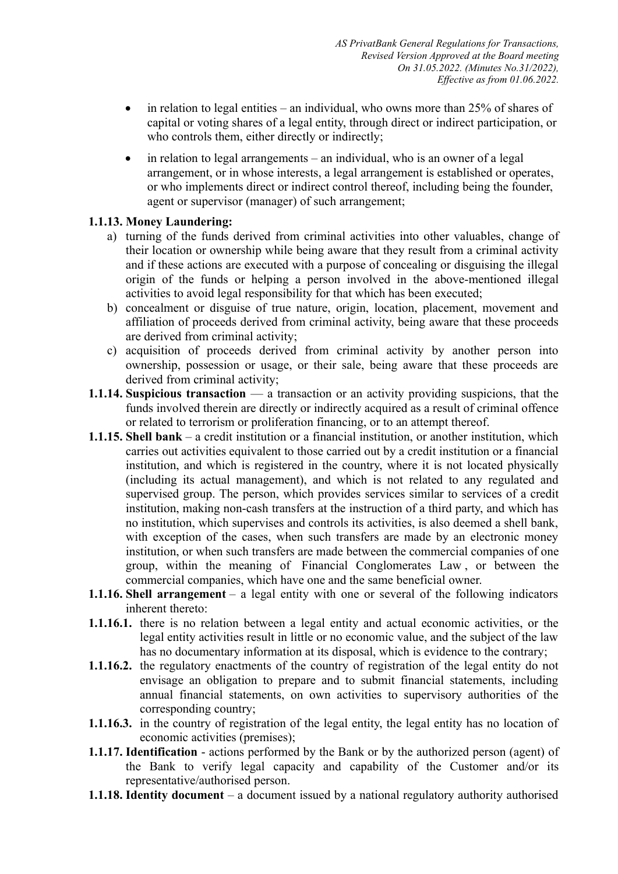- $\bullet$  in relation to legal entities an individual, who owns more than 25% of shares of capital or voting shares of a legal entity, through direct or indirect participation, or who controls them, either directly or indirectly;
- $\bullet$  in relation to legal arrangements an individual, who is an owner of a legal arrangement, or in whose interests, a legal arrangement is established or operates, or who implements direct or indirect control thereof, including being the founder, agent or supervisor (manager) of such arrangement;

# **1.1.13. Money Laundering:**

- a) turning of the funds derived from criminal activities into other valuables, change of their location or ownership while being aware that they result from a criminal activity and if these actions are executed with a purpose of concealing or disguising the illegal origin of the funds or helping a person involved in the above-mentioned illegal activities to avoid legal responsibility for that which has been executed;
- b) concealment or disguise of true nature, origin, location, placement, movement and affiliation of proceeds derived from criminal activity, being aware that these proceeds are derived from criminal activity;
- c) acquisition of proceeds derived from criminal activity by another person into ownership, possession or usage, or their sale, being aware that these proceeds are derived from criminal activity;
- **1.1.14. Suspicious transaction**  a transaction or an activity providing suspicions, that the funds involved therein are directly or indirectly acquired as a result of criminal offence or related to terrorism or proliferation financing, or to an attempt thereof.
- **1.1.15. Shell bank** a credit institution or a financial institution, or another institution, which carries out activities equivalent to those carried out by a credit institution or a financial institution, and which is registered in the country, where it is not located physically (including its actual management), and which is not related to any regulated and supervised group. The person, which provides services similar to services of a credit institution, making non-cash transfers at the instruction of a third party, and which has no institution, which supervises and controls its activities, is also deemed a shell bank, with exception of the cases, when such transfers are made by an electronic money institution, or when such transfers are made between the commercial companies of one group, within the meaning of Financial Conglomerates Law , or between the commercial companies, which have one and the same beneficial owner.
- **1.1.16. Shell arrangement** a legal entity with one or several of the following indicators inherent thereto:
- **1.1.16.1.** there is no relation between a legal entity and actual economic activities, or the legal entity activities result in little or no economic value, and the subject of the law has no documentary information at its disposal, which is evidence to the contrary;
- **1.1.16.2.** the regulatory enactments of the country of registration of the legal entity do not envisage an obligation to prepare and to submit financial statements, including annual financial statements, on own activities to supervisory authorities of the corresponding country;
- **1.1.16.3.** in the country of registration of the legal entity, the legal entity has no location of economic activities (premises);
- **1.1.17. Identification**  actions performed by the Bank or by the authorized person (agent) of the Bank to verify legal capacity and capability of the Customer and/or its representative/authorised person.
- **1.1.18. Identity document** a document issued by a national regulatory authority authorised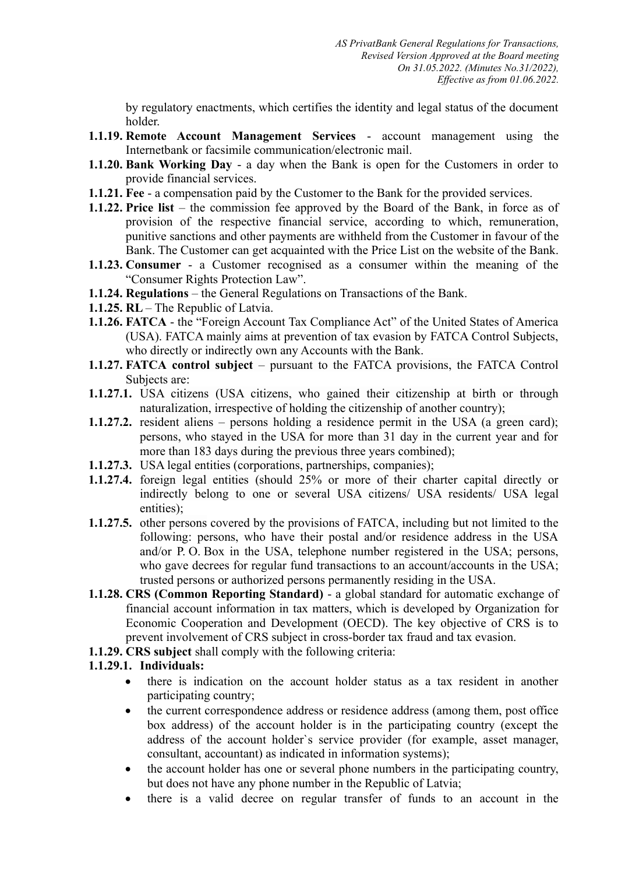by regulatory enactments, which certifies the identity and legal status of the document holder.

- **1.1.19. Remote Account Management Services**  account management using the Internetbank or facsimile communication/electronic mail.
- **1.1.20. Bank Working Day**  a day when the Bank is open for the Customers in order to provide financial services.
- **1.1.21. Fee** a compensation paid by the Customer to the Bank for the provided services.
- **1.1.22. Price list** the commission fee approved by the Board of the Bank, in force as of provision of the respective financial service, according to which, remuneration, punitive sanctions and other payments are withheld from the Customer in favour of the Bank. The Customer can get acquainted with the Price List on the website of the Bank.
- **1.1.23. Consumer** a Customer recognised as a consumer within the meaning of the "Consumer Rights Protection Law".
- **1.1.24. Regulations** the General Regulations on Transactions of the Bank.
- **1.1.25. RL**  The Republic of Latvia.
- **1.1.26. FATCA** the "Foreign Account Tax Compliance Act" of the United States of America (USA). FATCA mainly aims at prevention of tax evasion by FATCA Control Subjects, who directly or indirectly own any Accounts with the Bank.
- **1.1.27. FATCA control subject** pursuant to the FATCA provisions, the FATCA Control Subjects are:
- **1.1.27.1.** USA citizens (USA citizens, who gained their citizenship at birth or through naturalization, irrespective of holding the citizenship of another country);
- **1.1.27.2.** resident aliens persons holding a residence permit in the USA (a green card); persons, who stayed in the USA for more than 31 day in the current year and for more than 183 days during the previous three years combined);
- **1.1.27.3.** USA legal entities (corporations, partnerships, companies);
- **1.1.27.4.** foreign legal entities (should 25% or more of their charter capital directly or indirectly belong to one or several USA citizens/ USA residents/ USA legal entities);
- **1.1.27.5.** other persons covered by the provisions of FATCA, including but not limited to the following: persons, who have their postal and/or residence address in the USA and/or P. O. Box in the USA, telephone number registered in the USA; persons, who gave decrees for regular fund transactions to an account/accounts in the USA; trusted persons or authorized persons permanently residing in the USA.
- **1.1.28. CRS (Common Reporting Standard)** a global standard for automatic exchange of financial account information in tax matters, which is developed by Organization for Economic Cooperation and Development (OECD). The key objective of CRS is to prevent involvement of CRS subject in cross-border tax fraud and tax evasion.
- **1.1.29. CRS subject** shall comply with the following criteria:

# **1.1.29.1. Individuals:**

- there is indication on the account holder status as a tax resident in another participating country;
- the current correspondence address or residence address (among them, post office box address) of the account holder is in the participating country (except the address of the account holder`s service provider (for example, asset manager, consultant, accountant) as indicated in information systems);
- the account holder has one or several phone numbers in the participating country, but does not have any phone number in the Republic of Latvia;
- there is a valid decree on regular transfer of funds to an account in the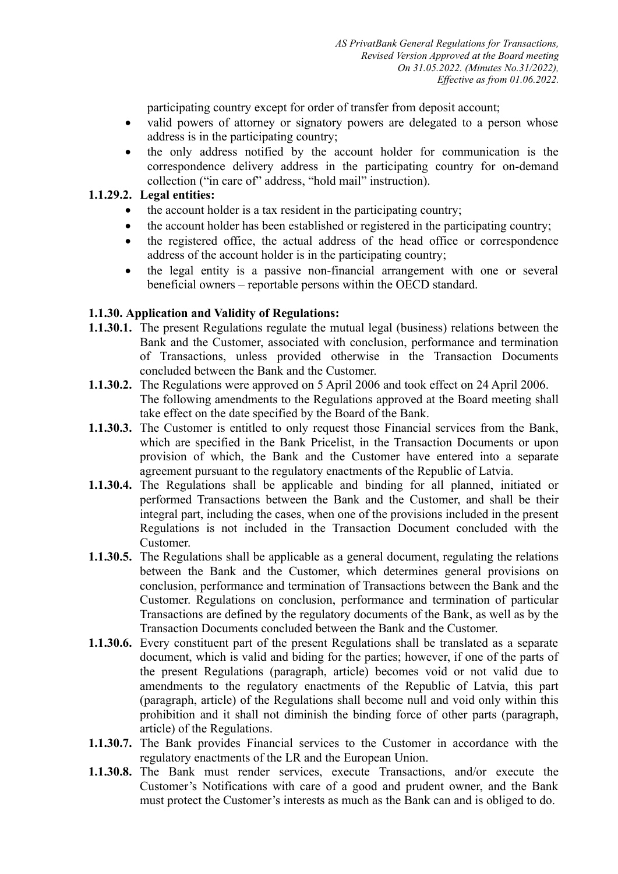participating country except for order of transfer from deposit account;

- valid powers of attorney or signatory powers are delegated to a person whose address is in the participating country;
- the only address notified by the account holder for communication is the correspondence delivery address in the participating country for on-demand collection ("in care of" address, "hold mail" instruction).

# **1.1.29.2. Legal entities:**

- the account holder is a tax resident in the participating country;
- the account holder has been established or registered in the participating country;
- the registered office, the actual address of the head office or correspondence address of the account holder is in the participating country;
- the legal entity is a passive non-financial arrangement with one or several beneficial owners – reportable persons within the OECD standard.

### **1.1.30. Application and Validity of Regulations:**

- **1.1.30.1.** The present Regulations regulate the mutual legal (business) relations between the Bank and the Customer, associated with conclusion, performance and termination of Transactions, unless provided otherwise in the Transaction Documents concluded between the Bank and the Customer.
- **1.1.30.2.** The Regulations were approved on 5 April 2006 and took effect on 24 April 2006. The following amendments to the Regulations approved at the Board meeting shall take effect on the date specified by the Board of the Bank.
- **1.1.30.3.** The Customer is entitled to only request those Financial services from the Bank, which are specified in the Bank Pricelist, in the Transaction Documents or upon provision of which, the Bank and the Customer have entered into a separate agreement pursuant to the regulatory enactments of the Republic of Latvia.
- **1.1.30.4.** The Regulations shall be applicable and binding for all planned, initiated or performed Transactions between the Bank and the Customer, and shall be their integral part, including the cases, when one of the provisions included in the present Regulations is not included in the Transaction Document concluded with the Customer.
- **1.1.30.5.** The Regulations shall be applicable as a general document, regulating the relations between the Bank and the Customer, which determines general provisions on conclusion, performance and termination of Transactions between the Bank and the Customer. Regulations on conclusion, performance and termination of particular Transactions are defined by the regulatory documents of the Bank, as well as by the Transaction Documents concluded between the Bank and the Customer.
- **1.1.30.6.** Every constituent part of the present Regulations shall be translated as a separate document, which is valid and biding for the parties; however, if one of the parts of the present Regulations (paragraph, article) becomes void or not valid due to amendments to the regulatory enactments of the Republic of Latvia, this part (paragraph, article) of the Regulations shall become null and void only within this prohibition and it shall not diminish the binding force of other parts (paragraph, article) of the Regulations.
- **1.1.30.7.** The Bank provides Financial services to the Customer in accordance with the regulatory enactments of the LR and the European Union.
- **1.1.30.8.** The Bank must render services, execute Transactions, and/or execute the Customer's Notifications with care of a good and prudent owner, and the Bank must protect the Customer's interests as much as the Bank can and is obliged to do.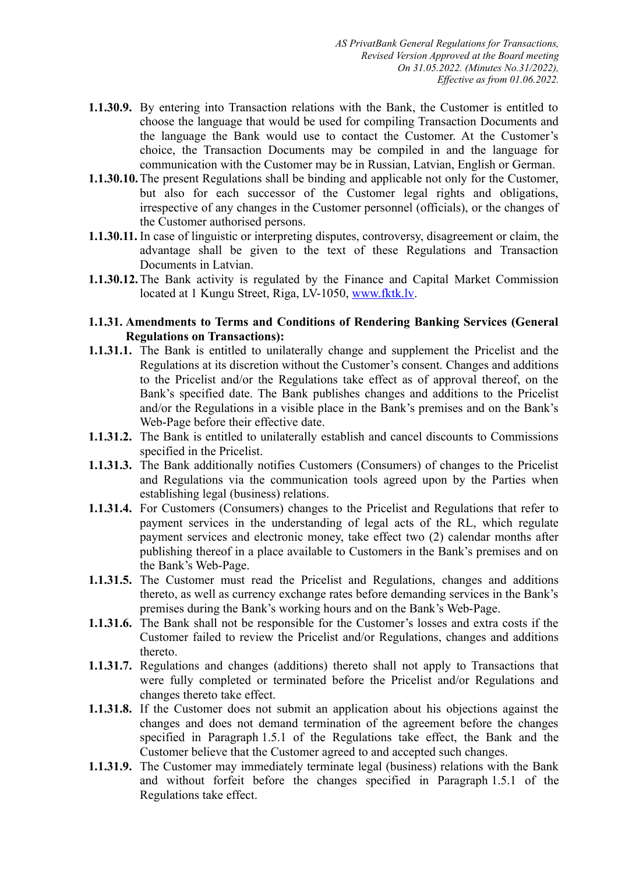- **1.1.30.9.** By entering into Transaction relations with the Bank, the Customer is entitled to choose the language that would be used for compiling Transaction Documents and the language the Bank would use to contact the Customer. At the Customer's choice, the Transaction Documents may be compiled in and the language for communication with the Customer may be in Russian, Latvian, English or German.
- **1.1.30.10.**The present Regulations shall be binding and applicable not only for the Customer, but also for each successor of the Customer legal rights and obligations, irrespective of any changes in the Customer personnel (officials), or the changes of the Customer authorised persons.
- **1.1.30.11.** In case of linguistic or interpreting disputes, controversy, disagreement or claim, the advantage shall be given to the text of these Regulations and Transaction Documents in Latvian.
- **1.1.30.12.**The Bank activity is regulated by the Finance and Capital Market Commission located at 1 Kungu Street, Riga, LV-1050, [www.fktk.lv](http://www.fktk.lv/).

### **1.1.31. Amendments to Terms and Conditions of Rendering Banking Services (General Regulations on Transactions):**

- **1.1.31.1.** The Bank is entitled to unilaterally change and supplement the Pricelist and the Regulations at its discretion without the Customer's consent. Changes and additions to the Pricelist and/or the Regulations take effect as of approval thereof, on the Bank's specified date. The Bank publishes changes and additions to the Pricelist and/or the Regulations in a visible place in the Bank's premises and on the Bank's Web-Page before their effective date.
- **1.1.31.2.** The Bank is entitled to unilaterally establish and cancel discounts to Commissions specified in the Pricelist.
- **1.1.31.3.** The Bank additionally notifies Customers (Consumers) of changes to the Pricelist and Regulations via the communication tools agreed upon by the Parties when establishing legal (business) relations.
- **1.1.31.4.** For Customers (Consumers) changes to the Pricelist and Regulations that refer to payment services in the understanding of legal acts of the RL, which regulate payment services and electronic money, take effect two (2) calendar months after publishing thereof in a place available to Customers in the Bank's premises and on the Bank's Web-Page.
- **1.1.31.5.** The Customer must read the Pricelist and Regulations, changes and additions thereto, as well as currency exchange rates before demanding services in the Bank's premises during the Bank's working hours and on the Bank's Web-Page.
- **1.1.31.6.** The Bank shall not be responsible for the Customer's losses and extra costs if the Customer failed to review the Pricelist and/or Regulations, changes and additions thereto.
- **1.1.31.7.** Regulations and changes (additions) thereto shall not apply to Transactions that were fully completed or terminated before the Pricelist and/or Regulations and changes thereto take effect.
- **1.1.31.8.** If the Customer does not submit an application about his objections against the changes and does not demand termination of the agreement before the changes specified in Paragraph 1.5.1 of the Regulations take effect, the Bank and the Customer believe that the Customer agreed to and accepted such changes.
- **1.1.31.9.** The Customer may immediately terminate legal (business) relations with the Bank and without forfeit before the changes specified in Paragraph 1.5.1 of the Regulations take effect.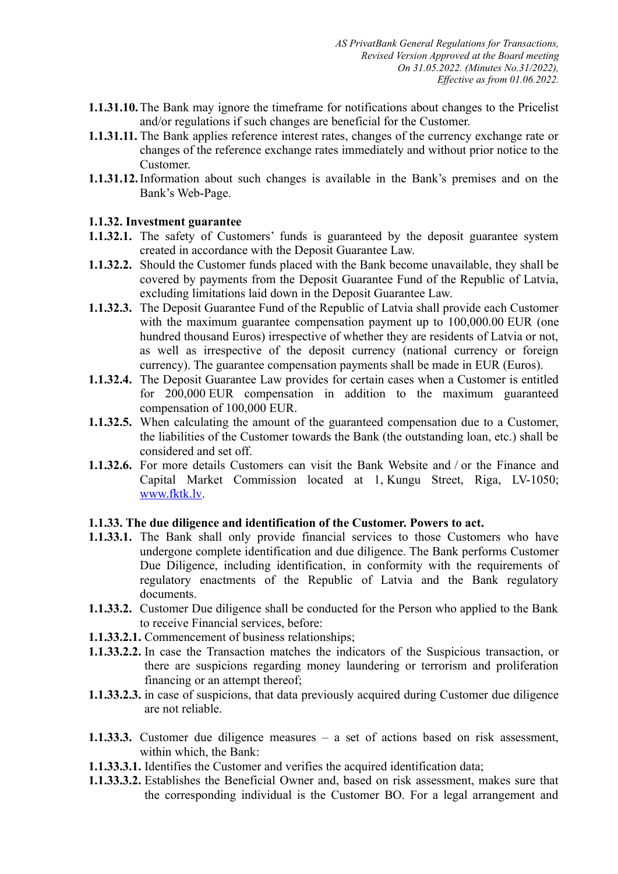- **1.1.31.10.**The Bank may ignore the timeframe for notifications about changes to the Pricelist and/or regulations if such changes are beneficial for the Customer.
- **1.1.31.11.** The Bank applies reference interest rates, changes of the currency exchange rate or changes of the reference exchange rates immediately and without prior notice to the Customer.
- **1.1.31.12.**Information about such changes is available in the Bank's premises and on the Bank's Web-Page.

### **1.1.32. Investment guarantee**

- **1.1.32.1.** The safety of Customers' funds is guaranteed by the deposit guarantee system created in accordance with the Deposit Guarantee Law.
- **1.1.32.2.** Should the Customer funds placed with the Bank become unavailable, they shall be covered by payments from the Deposit Guarantee Fund of the Republic of Latvia, excluding limitations laid down in the Deposit Guarantee Law.
- **1.1.32.3.** The Deposit Guarantee Fund of the Republic of Latvia shall provide each Customer with the maximum guarantee compensation payment up to  $100,000.00$  EUR (one hundred thousand Euros) irrespective of whether they are residents of Latvia or not, as well as irrespective of the deposit currency (national currency or foreign currency). The guarantee compensation payments shall be made in EUR (Euros).
- **1.1.32.4.** The Deposit Guarantee Law provides for certain cases when a Customer is entitled for 200,000 EUR compensation in addition to the maximum guaranteed compensation of 100,000 EUR.
- **1.1.32.5.** When calculating the amount of the guaranteed compensation due to a Customer, the liabilities of the Customer towards the Bank (the outstanding loan, etc.) shall be considered and set off.
- **1.1.32.6.** For more details Customers can visit the Bank Website and / or the Finance and Capital Market Commission located at 1, Kungu Street, Riga, LV-1050; [www.fktk.lv.](http://www.fktk.lv/)

# **1.1.33. The due diligence and identification of the Customer. Powers to act.**

- **1.1.33.1.** The Bank shall only provide financial services to those Customers who have undergone complete identification and due diligence. The Bank performs Customer Due Diligence, including identification, in conformity with the requirements of regulatory enactments of the Republic of Latvia and the Bank regulatory documents.
- **1.1.33.2.** Customer Due diligence shall be conducted for the Person who applied to the Bank to receive Financial services, before:
- **1.1.33.2.1.** Commencement of business relationships;
- **1.1.33.2.2.** In case the Transaction matches the indicators of the Suspicious transaction, or there are suspicions regarding money laundering or terrorism and proliferation financing or an attempt thereof;
- **1.1.33.2.3.** in case of suspicions, that data previously acquired during Customer due diligence are not reliable.
- **1.1.33.3.** Customer due diligence measures a set of actions based on risk assessment, within which, the Bank:
- **1.1.33.3.1.** Identifies the Customer and verifies the acquired identification data;
- **1.1.33.3.2.** Establishes the Beneficial Owner and, based on risk assessment, makes sure that the corresponding individual is the Customer BO. For a legal arrangement and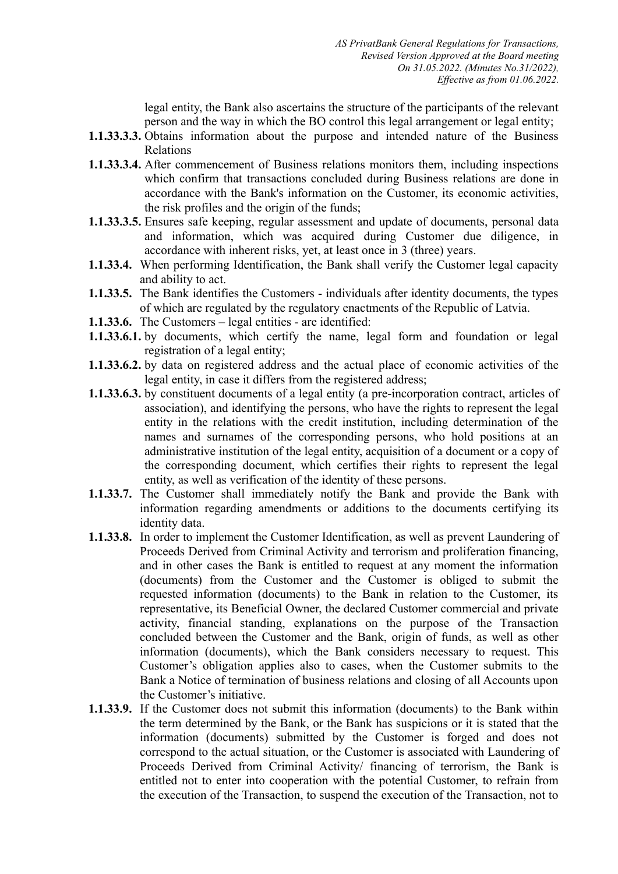legal entity, the Bank also ascertains the structure of the participants of the relevant person and the way in which the BO control this legal arrangement or legal entity;

- **1.1.33.3.3.** Obtains information about the purpose and intended nature of the Business Relations
- **1.1.33.3.4.** After commencement of Business relations monitors them, including inspections which confirm that transactions concluded during Business relations are done in accordance with the Bank's information on the Customer, its economic activities, the risk profiles and the origin of the funds;
- **1.1.33.3.5.** Ensures safe keeping, regular assessment and update of documents, personal data and information, which was acquired during Customer due diligence, in accordance with inherent risks, yet, at least once in 3 (three) years.
- **1.1.33.4.** When performing Identification, the Bank shall verify the Customer legal capacity and ability to act.
- **1.1.33.5.** The Bank identifies the Customers individuals after identity documents, the types of which are regulated by the regulatory enactments of the Republic of Latvia.
- **1.1.33.6.** The Customers legal entities are identified:
- **1.1.33.6.1.** by documents, which certify the name, legal form and foundation or legal registration of a legal entity;
- **1.1.33.6.2.** by data on registered address and the actual place of economic activities of the legal entity, in case it differs from the registered address;
- **1.1.33.6.3.** by constituent documents of a legal entity (a pre-incorporation contract, articles of association), and identifying the persons, who have the rights to represent the legal entity in the relations with the credit institution, including determination of the names and surnames of the corresponding persons, who hold positions at an administrative institution of the legal entity, acquisition of a document or a copy of the corresponding document, which certifies their rights to represent the legal entity, as well as verification of the identity of these persons.
- **1.1.33.7.** The Customer shall immediately notify the Bank and provide the Bank with information regarding amendments or additions to the documents certifying its identity data.
- **1.1.33.8.** In order to implement the Customer Identification, as well as prevent Laundering of Proceeds Derived from Criminal Activity and terrorism and proliferation financing, and in other cases the Bank is entitled to request at any moment the information (documents) from the Customer and the Customer is obliged to submit the requested information (documents) to the Bank in relation to the Customer, its representative, its Beneficial Owner, the declared Customer commercial and private activity, financial standing, explanations on the purpose of the Transaction concluded between the Customer and the Bank, origin of funds, as well as other information (documents), which the Bank considers necessary to request. This Customer's obligation applies also to cases, when the Customer submits to the Bank a Notice of termination of business relations and closing of all Accounts upon the Customer's initiative.
- **1.1.33.9.** If the Customer does not submit this information (documents) to the Bank within the term determined by the Bank, or the Bank has suspicions or it is stated that the information (documents) submitted by the Customer is forged and does not correspond to the actual situation, or the Customer is associated with Laundering of Proceeds Derived from Criminal Activity/ financing of terrorism, the Bank is entitled not to enter into cooperation with the potential Customer, to refrain from the execution of the Transaction, to suspend the execution of the Transaction, not to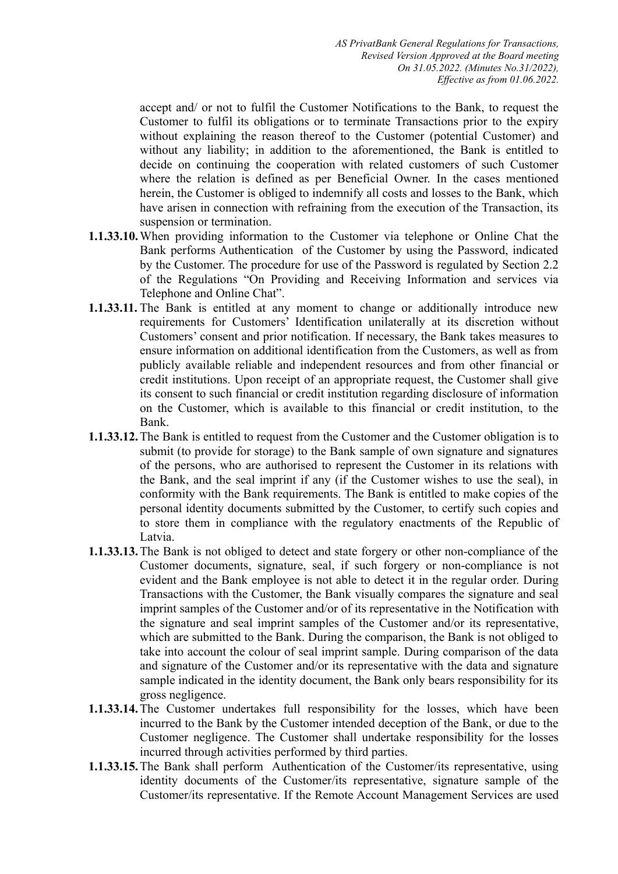accept and/ or not to fulfil the Customer Notifications to the Bank, to request the Customer to fulfil its obligations or to terminate Transactions prior to the expiry without explaining the reason thereof to the Customer (potential Customer) and without any liability; in addition to the aforementioned, the Bank is entitled to decide on continuing the cooperation with related customers of such Customer where the relation is defined as per Beneficial Owner. In the cases mentioned herein, the Customer is obliged to indemnify all costs and losses to the Bank, which have arisen in connection with refraining from the execution of the Transaction, its suspension or termination.

- **1.1.33.10.**When providing information to the Customer via telephone or Online Chat the Bank performs Authentication of the Customer by using the Password, indicated by the Customer. The procedure for use of the Password is regulated by Section 2.2 of the Regulations "On Providing and Receiving Information and services via Telephone and Online Chat".
- **1.1.33.11.** The Bank is entitled at any moment to change or additionally introduce new requirements for Customers' Identification unilaterally at its discretion without Customers' consent and prior notification. If necessary, the Bank takes measures to ensure information on additional identification from the Customers, as well as from publicly available reliable and independent resources and from other financial or credit institutions. Upon receipt of an appropriate request, the Customer shall give its consent to such financial or credit institution regarding disclosure of information on the Customer, which is available to this financial or credit institution, to the Bank.
- **1.1.33.12.**The Bank is entitled to request from the Customer and the Customer obligation is to submit (to provide for storage) to the Bank sample of own signature and signatures of the persons, who are authorised to represent the Customer in its relations with the Bank, and the seal imprint if any (if the Customer wishes to use the seal), in conformity with the Bank requirements. The Bank is entitled to make copies of the personal identity documents submitted by the Customer, to certify such copies and to store them in compliance with the regulatory enactments of the Republic of Latvia.
- **1.1.33.13.**The Bank is not obliged to detect and state forgery or other non-compliance of the Customer documents, signature, seal, if such forgery or non-compliance is not evident and the Bank employee is not able to detect it in the regular order. During Transactions with the Customer, the Bank visually compares the signature and seal imprint samples of the Customer and/or of its representative in the Notification with the signature and seal imprint samples of the Customer and/or its representative, which are submitted to the Bank. During the comparison, the Bank is not obliged to take into account the colour of seal imprint sample. During comparison of the data and signature of the Customer and/or its representative with the data and signature sample indicated in the identity document, the Bank only bears responsibility for its gross negligence.
- **1.1.33.14.**The Customer undertakes full responsibility for the losses, which have been incurred to the Bank by the Customer intended deception of the Bank, or due to the Customer negligence. The Customer shall undertake responsibility for the losses incurred through activities performed by third parties.
- **1.1.33.15.**The Bank shall perform Authentication of the Customer/its representative, using identity documents of the Customer/its representative, signature sample of the Customer/its representative. If the Remote Account Management Services are used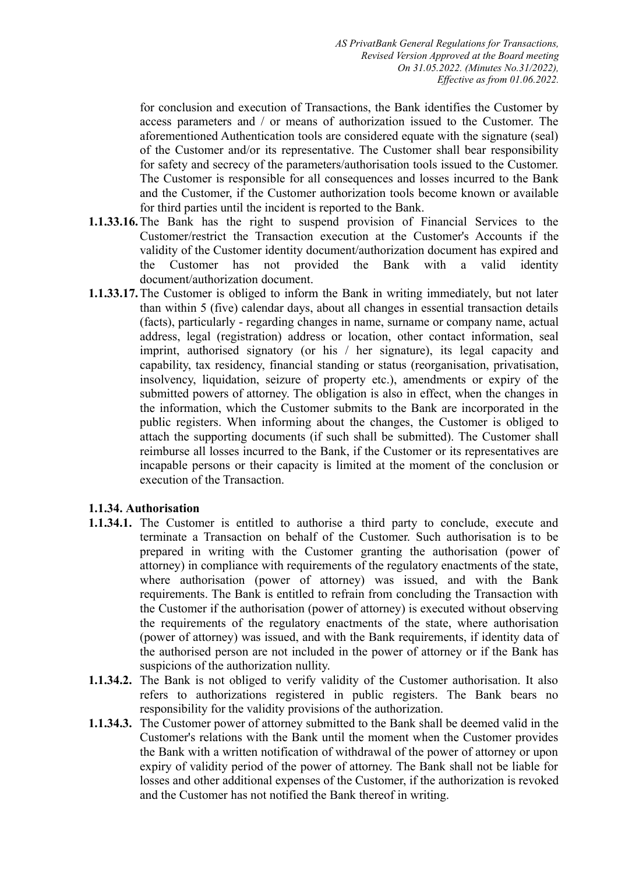for conclusion and execution of Transactions, the Bank identifies the Customer by access parameters and / or means of authorization issued to the Customer. The aforementioned Authentication tools are considered equate with the signature (seal) of the Customer and/or its representative. The Customer shall bear responsibility for safety and secrecy of the parameters/authorisation tools issued to the Customer. The Customer is responsible for all consequences and losses incurred to the Bank and the Customer, if the Customer authorization tools become known or available for third parties until the incident is reported to the Bank.

- **1.1.33.16.**The Bank has the right to suspend provision of Financial Services to the Customer/restrict the Transaction execution at the Customer's Accounts if the validity of the Customer identity document/authorization document has expired and the Customer has not provided the Bank with a valid identity document/authorization document.
- **1.1.33.17.**The Customer is obliged to inform the Bank in writing immediately, but not later than within 5 (five) calendar days, about all changes in essential transaction details (facts), particularly - regarding changes in name, surname or company name, actual address, legal (registration) address or location, other contact information, seal imprint, authorised signatory (or his / her signature), its legal capacity and capability, tax residency, financial standing or status (reorganisation, privatisation, insolvency, liquidation, seizure of property etc.), amendments or expiry of the submitted powers of attorney. The obligation is also in effect, when the changes in the information, which the Customer submits to the Bank are incorporated in the public registers. When informing about the changes, the Customer is obliged to attach the supporting documents (if such shall be submitted). The Customer shall reimburse all losses incurred to the Bank, if the Customer or its representatives are incapable persons or their capacity is limited at the moment of the conclusion or execution of the Transaction.

# **1.1.34. Authorisation**

- **1.1.34.1.** The Customer is entitled to authorise a third party to conclude, execute and terminate a Transaction on behalf of the Customer. Such authorisation is to be prepared in writing with the Customer granting the authorisation (power of attorney) in compliance with requirements of the regulatory enactments of the state, where authorisation (power of attorney) was issued, and with the Bank requirements. The Bank is entitled to refrain from concluding the Transaction with the Customer if the authorisation (power of attorney) is executed without observing the requirements of the regulatory enactments of the state, where authorisation (power of attorney) was issued, and with the Bank requirements, if identity data of the authorised person are not included in the power of attorney or if the Bank has suspicions of the authorization nullity.
- **1.1.34.2.** The Bank is not obliged to verify validity of the Customer authorisation. It also refers to authorizations registered in public registers. The Bank bears no responsibility for the validity provisions of the authorization.
- **1.1.34.3.** The Customer power of attorney submitted to the Bank shall be deemed valid in the Customer's relations with the Bank until the moment when the Customer provides the Bank with a written notification of withdrawal of the power of attorney or upon expiry of validity period of the power of attorney. The Bank shall not be liable for losses and other additional expenses of the Customer, if the authorization is revoked and the Customer has not notified the Bank thereof in writing.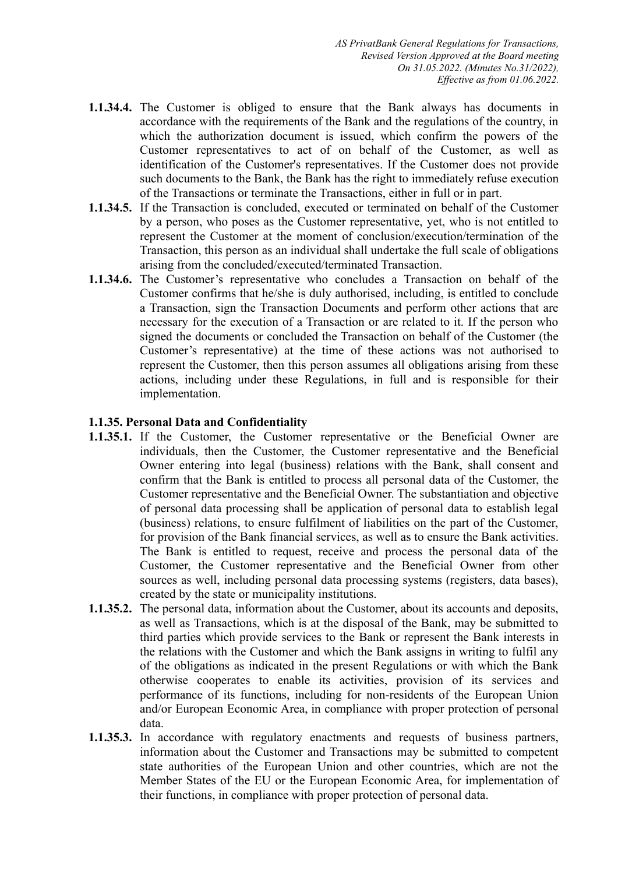- **1.1.34.4.** The Customer is obliged to ensure that the Bank always has documents in accordance with the requirements of the Bank and the regulations of the country, in which the authorization document is issued, which confirm the powers of the Customer representatives to act of on behalf of the Customer, as well as identification of the Customer's representatives. If the Customer does not provide such documents to the Bank, the Bank has the right to immediately refuse execution of the Transactions or terminate the Transactions, either in full or in part.
- **1.1.34.5.** If the Transaction is concluded, executed or terminated on behalf of the Customer by a person, who poses as the Customer representative, yet, who is not entitled to represent the Customer at the moment of conclusion/execution/termination of the Transaction, this person as an individual shall undertake the full scale of obligations arising from the concluded/executed/terminated Transaction.
- **1.1.34.6.** The Customer's representative who concludes a Transaction on behalf of the Customer confirms that he/she is duly authorised, including, is entitled to conclude a Transaction, sign the Transaction Documents and perform other actions that are necessary for the execution of a Transaction or are related to it. If the person who signed the documents or concluded the Transaction on behalf of the Customer (the Customer's representative) at the time of these actions was not authorised to represent the Customer, then this person assumes all obligations arising from these actions, including under these Regulations, in full and is responsible for their implementation.

# **1.1.35. Personal Data and Confidentiality**

- **1.1.35.1.** If the Customer, the Customer representative or the Beneficial Owner are individuals, then the Customer, the Customer representative and the Beneficial Owner entering into legal (business) relations with the Bank, shall consent and confirm that the Bank is entitled to process all personal data of the Customer, the Customer representative and the Beneficial Owner. The substantiation and objective of personal data processing shall be application of personal data to establish legal (business) relations, to ensure fulfilment of liabilities on the part of the Customer, for provision of the Bank financial services, as well as to ensure the Bank activities. The Bank is entitled to request, receive and process the personal data of the Customer, the Customer representative and the Beneficial Owner from other sources as well, including personal data processing systems (registers, data bases), created by the state or municipality institutions.
- **1.1.35.2.** The personal data, information about the Customer, about its accounts and deposits, as well as Transactions, which is at the disposal of the Bank, may be submitted to third parties which provide services to the Bank or represent the Bank interests in the relations with the Customer and which the Bank assigns in writing to fulfil any of the obligations as indicated in the present Regulations or with which the Bank otherwise cooperates to enable its activities, provision of its services and performance of its functions, including for non-residents of the European Union and/or European Economic Area, in compliance with proper protection of personal data.
- **1.1.35.3.** In accordance with regulatory enactments and requests of business partners, information about the Customer and Transactions may be submitted to competent state authorities of the European Union and other countries, which are not the Member States of the EU or the European Economic Area, for implementation of their functions, in compliance with proper protection of personal data.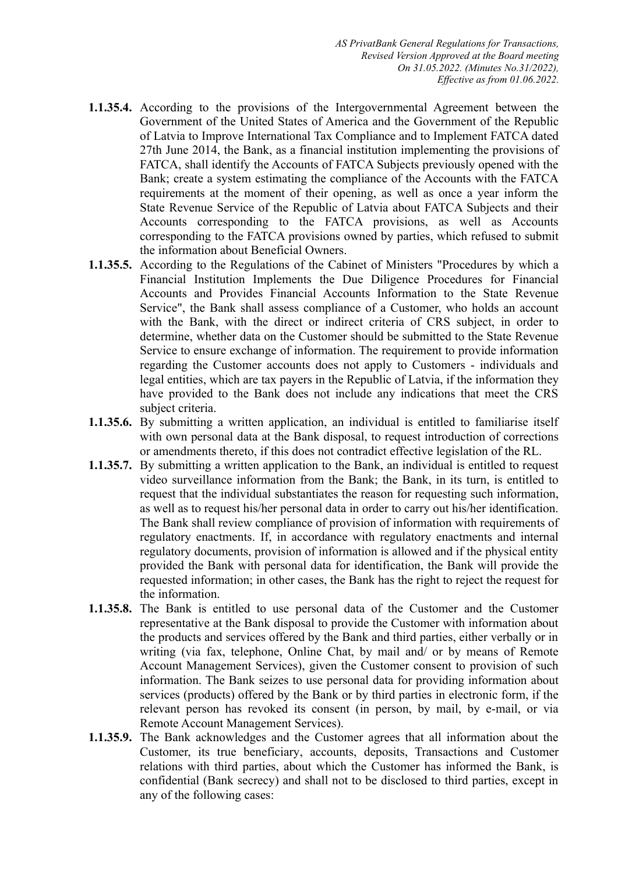- **1.1.35.4.** According to the provisions of the Intergovernmental Agreement between the Government of the United States of America and the Government of the Republic of Latvia to Improve International Tax Compliance and to Implement FATCA dated 27th June 2014, the Bank, as a financial institution implementing the provisions of FATCA, shall identify the Accounts of FATCA Subjects previously opened with the Bank; create a system estimating the compliance of the Accounts with the FATCA requirements at the moment of their opening, as well as once a year inform the State Revenue Service of the Republic of Latvia about FATCA Subjects and their Accounts corresponding to the FATCA provisions, as well as Accounts corresponding to the FATCA provisions owned by parties, which refused to submit the information about Beneficial Owners.
- **1.1.35.5.** According to the Regulations of the Cabinet of Ministers "Procedures by which a Financial Institution Implements the Due Diligence Procedures for Financial Accounts and Provides Financial Accounts Information to the State Revenue Service", the Bank shall assess compliance of a Customer, who holds an account with the Bank, with the direct or indirect criteria of CRS subject, in order to determine, whether data on the Customer should be submitted to the State Revenue Service to ensure exchange of information. The requirement to provide information regarding the Customer accounts does not apply to Customers - individuals and legal entities, which are tax payers in the Republic of Latvia, if the information they have provided to the Bank does not include any indications that meet the CRS subject criteria.
- **1.1.35.6.** By submitting a written application, an individual is entitled to familiarise itself with own personal data at the Bank disposal, to request introduction of corrections or amendments thereto, if this does not contradict effective legislation of the RL.
- **1.1.35.7.** By submitting a written application to the Bank, an individual is entitled to request video surveillance information from the Bank; the Bank, in its turn, is entitled to request that the individual substantiates the reason for requesting such information, as well as to request his/her personal data in order to carry out his/her identification. The Bank shall review compliance of provision of information with requirements of regulatory enactments. If, in accordance with regulatory enactments and internal regulatory documents, provision of information is allowed and if the physical entity provided the Bank with personal data for identification, the Bank will provide the requested information; in other cases, the Bank has the right to reject the request for the information.
- **1.1.35.8.** The Bank is entitled to use personal data of the Customer and the Customer representative at the Bank disposal to provide the Customer with information about the products and services offered by the Bank and third parties, either verbally or in writing (via fax, telephone, Online Chat, by mail and/ or by means of Remote Account Management Services), given the Customer consent to provision of such information. The Bank seizes to use personal data for providing information about services (products) offered by the Bank or by third parties in electronic form, if the relevant person has revoked its consent (in person, by mail, by e-mail, or via Remote Account Management Services).
- **1.1.35.9.** The Bank acknowledges and the Customer agrees that all information about the Customer, its true beneficiary, accounts, deposits, Transactions and Customer relations with third parties, about which the Customer has informed the Bank, is confidential (Bank secrecy) and shall not to be disclosed to third parties, except in any of the following cases: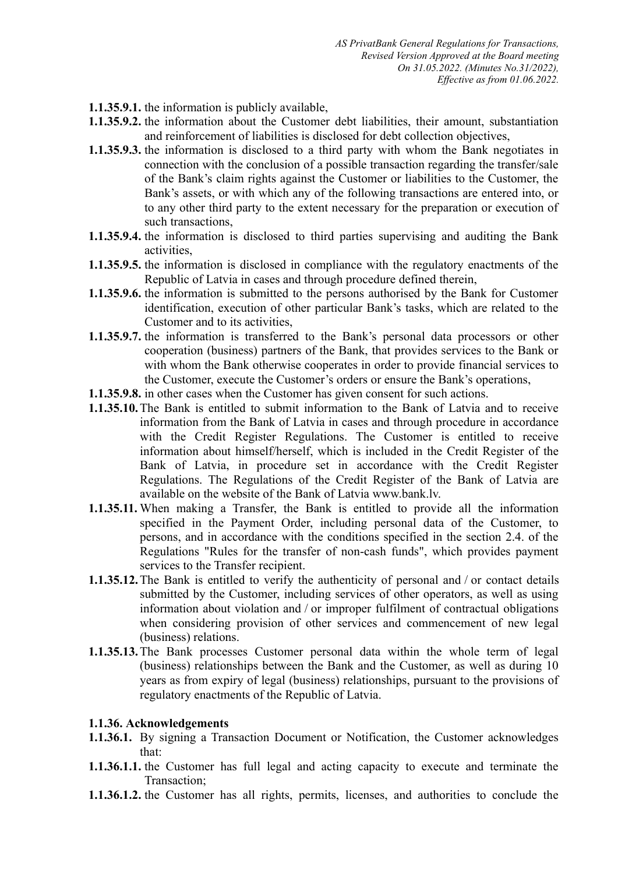- **1.1.35.9.1.** the information is publicly available,
- **1.1.35.9.2.** the information about the Customer debt liabilities, their amount, substantiation and reinforcement of liabilities is disclosed for debt collection objectives,
- **1.1.35.9.3.** the information is disclosed to a third party with whom the Bank negotiates in connection with the conclusion of a possible transaction regarding the transfer/sale of the Bank's claim rights against the Customer or liabilities to the Customer, the Bank's assets, or with which any of the following transactions are entered into, or to any other third party to the extent necessary for the preparation or execution of such transactions,
- **1.1.35.9.4.** the information is disclosed to third parties supervising and auditing the Bank activities,
- **1.1.35.9.5.** the information is disclosed in compliance with the regulatory enactments of the Republic of Latvia in cases and through procedure defined therein,
- **1.1.35.9.6.** the information is submitted to the persons authorised by the Bank for Customer identification, execution of other particular Bank's tasks, which are related to the Customer and to its activities,
- **1.1.35.9.7.** the information is transferred to the Bank's personal data processors or other cooperation (business) partners of the Bank, that provides services to the Bank or with whom the Bank otherwise cooperates in order to provide financial services to the Customer, execute the Customer's orders or ensure the Bank's operations,
- **1.1.35.9.8.** in other cases when the Customer has given consent for such actions.
- **1.1.35.10.**The Bank is entitled to submit information to the Bank of Latvia and to receive information from the Bank of Latvia in cases and through procedure in accordance with the Credit Register Regulations. The Customer is entitled to receive information about himself/herself, which is included in the Credit Register of the Bank of Latvia, in procedure set in accordance with the Credit Register Regulations. The Regulations of the Credit Register of the Bank of Latvia are available on the website of the Bank of Latvia www.bank.lv.
- **1.1.35.11.** When making a Transfer, the Bank is entitled to provide all the information specified in the Payment Order, including personal data of the Customer, to persons, and in accordance with the conditions specified in the section 2.4. of the Regulations "Rules for the transfer of non-cash funds", which provides payment services to the Transfer recipient.
- **1.1.35.12.**The Bank is entitled to verify the authenticity of personal and / or contact details submitted by the Customer, including services of other operators, as well as using information about violation and / or improper fulfilment of contractual obligations when considering provision of other services and commencement of new legal (business) relations.
- **1.1.35.13.**The Bank processes Customer personal data within the whole term of legal (business) relationships between the Bank and the Customer, as well as during 10 years as from expiry of legal (business) relationships, pursuant to the provisions of regulatory enactments of the Republic of Latvia.

#### **1.1.36. Acknowledgements**

- **1.1.36.1.** By signing a Transaction Document or Notification, the Customer acknowledges that:
- **1.1.36.1.1.** the Customer has full legal and acting capacity to execute and terminate the Transaction;
- **1.1.36.1.2.** the Customer has all rights, permits, licenses, and authorities to conclude the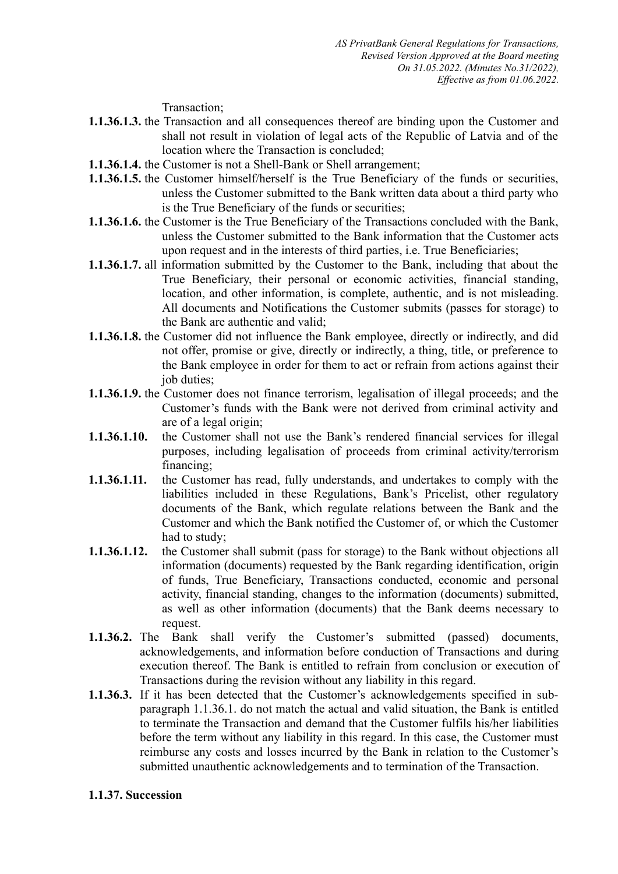Transaction;

- **1.1.36.1.3.** the Transaction and all consequences thereof are binding upon the Customer and shall not result in violation of legal acts of the Republic of Latvia and of the location where the Transaction is concluded;
- **1.1.36.1.4.** the Customer is not a Shell-Bank or Shell arrangement;
- **1.1.36.1.5.** the Customer himself/herself is the True Beneficiary of the funds or securities, unless the Customer submitted to the Bank written data about a third party who is the True Beneficiary of the funds or securities;
- **1.1.36.1.6.** the Customer is the True Beneficiary of the Transactions concluded with the Bank, unless the Customer submitted to the Bank information that the Customer acts upon request and in the interests of third parties, i.e. True Beneficiaries;
- **1.1.36.1.7.** all information submitted by the Customer to the Bank, including that about the True Beneficiary, their personal or economic activities, financial standing, location, and other information, is complete, authentic, and is not misleading. All documents and Notifications the Customer submits (passes for storage) to the Bank are authentic and valid;
- **1.1.36.1.8.** the Customer did not influence the Bank employee, directly or indirectly, and did not offer, promise or give, directly or indirectly, a thing, title, or preference to the Bank employee in order for them to act or refrain from actions against their job duties;
- **1.1.36.1.9.** the Customer does not finance terrorism, legalisation of illegal proceeds; and the Customer's funds with the Bank were not derived from criminal activity and are of a legal origin;
- **1.1.36.1.10.** the Customer shall not use the Bank's rendered financial services for illegal purposes, including legalisation of proceeds from criminal activity/terrorism financing;
- **1.1.36.1.11.** the Customer has read, fully understands, and undertakes to comply with the liabilities included in these Regulations, Bank's Pricelist, other regulatory documents of the Bank, which regulate relations between the Bank and the Customer and which the Bank notified the Customer of, or which the Customer had to study;
- **1.1.36.1.12.** the Customer shall submit (pass for storage) to the Bank without objections all information (documents) requested by the Bank regarding identification, origin of funds, True Beneficiary, Transactions conducted, economic and personal activity, financial standing, changes to the information (documents) submitted, as well as other information (documents) that the Bank deems necessary to request.
- **1.1.36.2.** The Bank shall verify the Customer's submitted (passed) documents, acknowledgements, and information before conduction of Transactions and during execution thereof. The Bank is entitled to refrain from conclusion or execution of Transactions during the revision without any liability in this regard.
- **1.1.36.3.** If it has been detected that the Customer's acknowledgements specified in subparagraph 1.1.36.1. do not match the actual and valid situation, the Bank is entitled to terminate the Transaction and demand that the Customer fulfils his/her liabilities before the term without any liability in this regard. In this case, the Customer must reimburse any costs and losses incurred by the Bank in relation to the Customer's submitted unauthentic acknowledgements and to termination of the Transaction.

#### **1.1.37. Succession**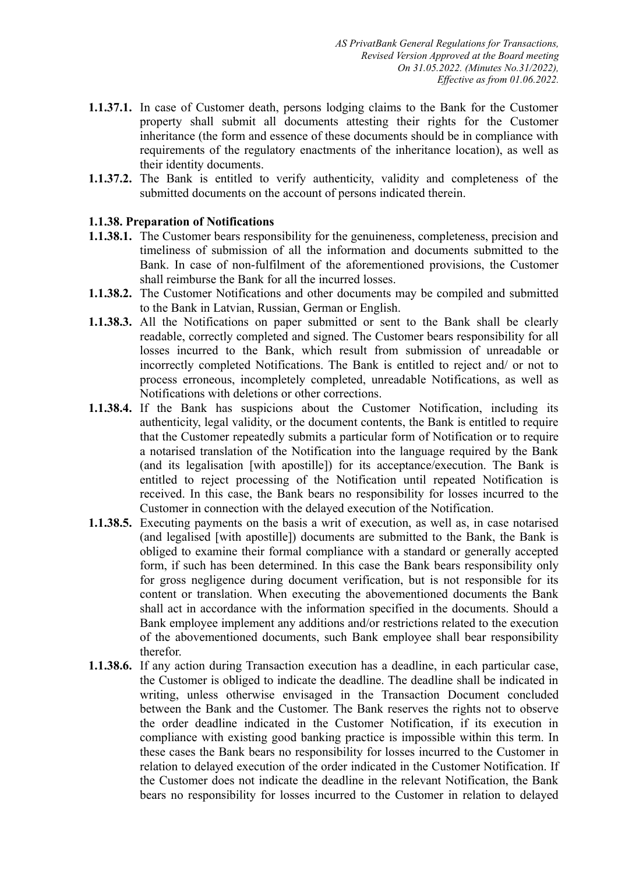- **1.1.37.1.** In case of Customer death, persons lodging claims to the Bank for the Customer property shall submit all documents attesting their rights for the Customer inheritance (the form and essence of these documents should be in compliance with requirements of the regulatory enactments of the inheritance location), as well as their identity documents.
- **1.1.37.2.** The Bank is entitled to verify authenticity, validity and completeness of the submitted documents on the account of persons indicated therein.

### **1.1.38. Preparation of Notifications**

- **1.1.38.1.** The Customer bears responsibility for the genuineness, completeness, precision and timeliness of submission of all the information and documents submitted to the Bank. In case of non-fulfilment of the aforementioned provisions, the Customer shall reimburse the Bank for all the incurred losses.
- **1.1.38.2.** The Customer Notifications and other documents may be compiled and submitted to the Bank in Latvian, Russian, German or English.
- **1.1.38.3.** All the Notifications on paper submitted or sent to the Bank shall be clearly readable, correctly completed and signed. The Customer bears responsibility for all losses incurred to the Bank, which result from submission of unreadable or incorrectly completed Notifications. The Bank is entitled to reject and/ or not to process erroneous, incompletely completed, unreadable Notifications, as well as Notifications with deletions or other corrections.
- **1.1.38.4.** If the Bank has suspicions about the Customer Notification, including its authenticity, legal validity, or the document contents, the Bank is entitled to require that the Customer repeatedly submits a particular form of Notification or to require a notarised translation of the Notification into the language required by the Bank (and its legalisation [with apostille]) for its acceptance/execution. The Bank is entitled to reject processing of the Notification until repeated Notification is received. In this case, the Bank bears no responsibility for losses incurred to the Customer in connection with the delayed execution of the Notification.
- **1.1.38.5.** Executing payments on the basis a writ of execution, as well as, in case notarised (and legalised [with apostille]) documents are submitted to the Bank, the Bank is obliged to examine their formal compliance with a standard or generally accepted form, if such has been determined. In this case the Bank bears responsibility only for gross negligence during document verification, but is not responsible for its content or translation. When executing the abovementioned documents the Bank shall act in accordance with the information specified in the documents. Should a Bank employee implement any additions and/or restrictions related to the execution of the abovementioned documents, such Bank employee shall bear responsibility therefor.
- **1.1.38.6.** If any action during Transaction execution has a deadline, in each particular case, the Customer is obliged to indicate the deadline. The deadline shall be indicated in writing, unless otherwise envisaged in the Transaction Document concluded between the Bank and the Customer. The Bank reserves the rights not to observe the order deadline indicated in the Customer Notification, if its execution in compliance with existing good banking practice is impossible within this term. In these cases the Bank bears no responsibility for losses incurred to the Customer in relation to delayed execution of the order indicated in the Customer Notification. If the Customer does not indicate the deadline in the relevant Notification, the Bank bears no responsibility for losses incurred to the Customer in relation to delayed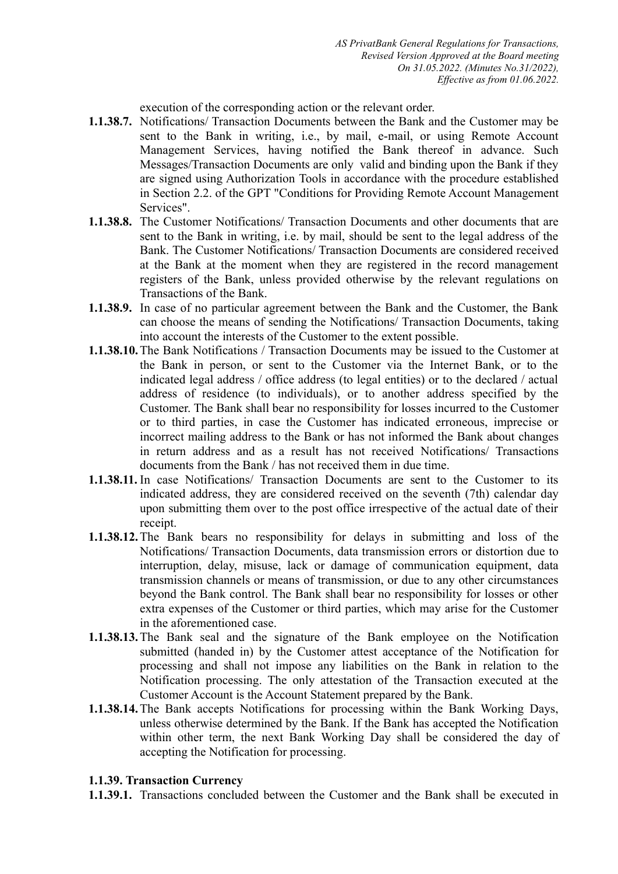execution of the corresponding action or the relevant order.

- **1.1.38.7.** Notifications/ Transaction Documents between the Bank and the Customer may be sent to the Bank in writing, i.e., by mail, e-mail, or using Remote Account Management Services, having notified the Bank thereof in advance. Such Messages/Transaction Documents are only valid and binding upon the Bank if they are signed using Authorization Tools in accordance with the procedure established in Section 2.2. of the GPT "Conditions for Providing Remote Account Management Services".
- **1.1.38.8.** The Customer Notifications/ Transaction Documents and other documents that are sent to the Bank in writing, i.e. by mail, should be sent to the legal address of the Bank. The Customer Notifications/ Transaction Documents are considered received at the Bank at the moment when they are registered in the record management registers of the Bank, unless provided otherwise by the relevant regulations on Transactions of the Bank.
- **1.1.38.9.** In case of no particular agreement between the Bank and the Customer, the Bank can choose the means of sending the Notifications/ Transaction Documents, taking into account the interests of the Customer to the extent possible.
- **1.1.38.10.**The Bank Notifications / Transaction Documents may be issued to the Customer at the Bank in person, or sent to the Customer via the Internet Bank, or to the indicated legal address / office address (to legal entities) or to the declared / actual address of residence (to individuals), or to another address specified by the Customer. The Bank shall bear no responsibility for losses incurred to the Customer or to third parties, in case the Customer has indicated erroneous, imprecise or incorrect mailing address to the Bank or has not informed the Bank about changes in return address and as a result has not received Notifications/ Transactions documents from the Bank / has not received them in due time.
- **1.1.38.11.** In case Notifications/ Transaction Documents are sent to the Customer to its indicated address, they are considered received on the seventh (7th) calendar day upon submitting them over to the post office irrespective of the actual date of their receipt.
- **1.1.38.12.**The Bank bears no responsibility for delays in submitting and loss of the Notifications/ Transaction Documents, data transmission errors or distortion due to interruption, delay, misuse, lack or damage of communication equipment, data transmission channels or means of transmission, or due to any other circumstances beyond the Bank control. The Bank shall bear no responsibility for losses or other extra expenses of the Customer or third parties, which may arise for the Customer in the aforementioned case.
- **1.1.38.13.**The Bank seal and the signature of the Bank employee on the Notification submitted (handed in) by the Customer attest acceptance of the Notification for processing and shall not impose any liabilities on the Bank in relation to the Notification processing. The only attestation of the Transaction executed at the Customer Account is the Account Statement prepared by the Bank.
- **1.1.38.14.**The Bank accepts Notifications for processing within the Bank Working Days, unless otherwise determined by the Bank. If the Bank has accepted the Notification within other term, the next Bank Working Day shall be considered the day of accepting the Notification for processing.

#### **1.1.39. Transaction Currency**

**1.1.39.1.** Transactions concluded between the Customer and the Bank shall be executed in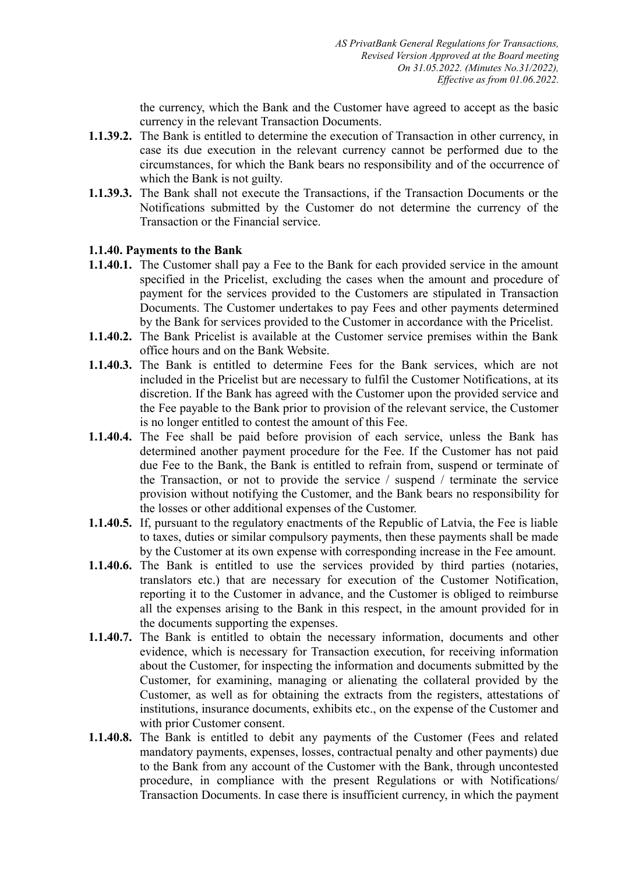the currency, which the Bank and the Customer have agreed to accept as the basic currency in the relevant Transaction Documents.

- **1.1.39.2.** The Bank is entitled to determine the execution of Transaction in other currency, in case its due execution in the relevant currency cannot be performed due to the circumstances, for which the Bank bears no responsibility and of the occurrence of which the Bank is not guilty.
- **1.1.39.3.** The Bank shall not execute the Transactions, if the Transaction Documents or the Notifications submitted by the Customer do not determine the currency of the Transaction or the Financial service.

### **1.1.40. Payments to the Bank**

- **1.1.40.1.** The Customer shall pay a Fee to the Bank for each provided service in the amount specified in the Pricelist, excluding the cases when the amount and procedure of payment for the services provided to the Customers are stipulated in Transaction Documents. The Customer undertakes to pay Fees and other payments determined by the Bank for services provided to the Customer in accordance with the Pricelist.
- **1.1.40.2.** The Bank Pricelist is available at the Customer service premises within the Bank office hours and on the Bank Website.
- **1.1.40.3.** The Bank is entitled to determine Fees for the Bank services, which are not included in the Pricelist but are necessary to fulfil the Customer Notifications, at its discretion. If the Bank has agreed with the Customer upon the provided service and the Fee payable to the Bank prior to provision of the relevant service, the Customer is no longer entitled to contest the amount of this Fee.
- **1.1.40.4.** The Fee shall be paid before provision of each service, unless the Bank has determined another payment procedure for the Fee. If the Customer has not paid due Fee to the Bank, the Bank is entitled to refrain from, suspend or terminate of the Transaction, or not to provide the service / suspend / terminate the service provision without notifying the Customer, and the Bank bears no responsibility for the losses or other additional expenses of the Customer.
- **1.1.40.5.** If, pursuant to the regulatory enactments of the Republic of Latvia, the Fee is liable to taxes, duties or similar compulsory payments, then these payments shall be made by the Customer at its own expense with corresponding increase in the Fee amount.
- **1.1.40.6.** The Bank is entitled to use the services provided by third parties (notaries, translators etc.) that are necessary for execution of the Customer Notification, reporting it to the Customer in advance, and the Customer is obliged to reimburse all the expenses arising to the Bank in this respect, in the amount provided for in the documents supporting the expenses.
- **1.1.40.7.** The Bank is entitled to obtain the necessary information, documents and other evidence, which is necessary for Transaction execution, for receiving information about the Customer, for inspecting the information and documents submitted by the Customer, for examining, managing or alienating the collateral provided by the Customer, as well as for obtaining the extracts from the registers, attestations of institutions, insurance documents, exhibits etc., on the expense of the Customer and with prior Customer consent.
- **1.1.40.8.** The Bank is entitled to debit any payments of the Customer (Fees and related mandatory payments, expenses, losses, contractual penalty and other payments) due to the Bank from any account of the Customer with the Bank, through uncontested procedure, in compliance with the present Regulations or with Notifications/ Transaction Documents. In case there is insufficient currency, in which the payment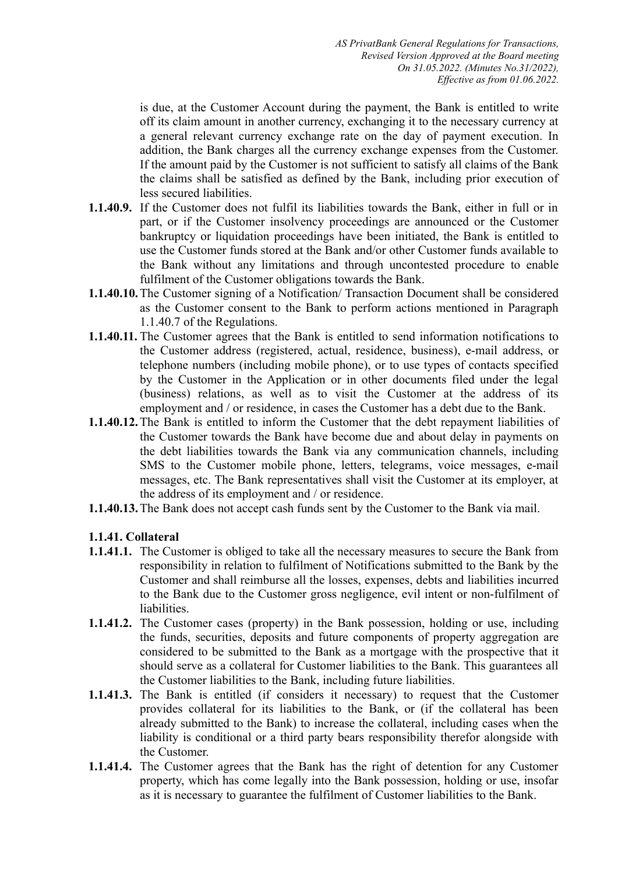is due, at the Customer Account during the payment, the Bank is entitled to write off its claim amount in another currency, exchanging it to the necessary currency at a general relevant currency exchange rate on the day of payment execution. In addition, the Bank charges all the currency exchange expenses from the Customer. If the amount paid by the Customer is not sufficient to satisfy all claims of the Bank the claims shall be satisfied as defined by the Bank, including prior execution of less secured liabilities.

- **1.1.40.9.** If the Customer does not fulfil its liabilities towards the Bank, either in full or in part, or if the Customer insolvency proceedings are announced or the Customer bankruptcy or liquidation proceedings have been initiated, the Bank is entitled to use the Customer funds stored at the Bank and/or other Customer funds available to the Bank without any limitations and through uncontested procedure to enable fulfilment of the Customer obligations towards the Bank.
- **1.1.40.10.**The Customer signing of a Notification/ Transaction Document shall be considered as the Customer consent to the Bank to perform actions mentioned in Paragraph 1.1.40.7 of the Regulations.
- **1.1.40.11.** The Customer agrees that the Bank is entitled to send information notifications to the Customer address (registered, actual, residence, business), e-mail address, or telephone numbers (including mobile phone), or to use types of contacts specified by the Customer in the Application or in other documents filed under the legal (business) relations, as well as to visit the Customer at the address of its employment and / or residence, in cases the Customer has a debt due to the Bank.
- **1.1.40.12.**The Bank is entitled to inform the Customer that the debt repayment liabilities of the Customer towards the Bank have become due and about delay in payments on the debt liabilities towards the Bank via any communication channels, including SMS to the Customer mobile phone, letters, telegrams, voice messages, e-mail messages, etc. The Bank representatives shall visit the Customer at its employer, at the address of its employment and / or residence.
- **1.1.40.13.**The Bank does not accept cash funds sent by the Customer to the Bank via mail.

# **1.1.41. Collateral**

- **1.1.41.1.** The Customer is obliged to take all the necessary measures to secure the Bank from responsibility in relation to fulfilment of Notifications submitted to the Bank by the Customer and shall reimburse all the losses, expenses, debts and liabilities incurred to the Bank due to the Customer gross negligence, evil intent or non-fulfilment of liabilities.
- **1.1.41.2.** The Customer cases (property) in the Bank possession, holding or use, including the funds, securities, deposits and future components of property aggregation are considered to be submitted to the Bank as a mortgage with the prospective that it should serve as a collateral for Customer liabilities to the Bank. This guarantees all the Customer liabilities to the Bank, including future liabilities.
- **1.1.41.3.** The Bank is entitled (if considers it necessary) to request that the Customer provides collateral for its liabilities to the Bank, or (if the collateral has been already submitted to the Bank) to increase the collateral, including cases when the liability is conditional or a third party bears responsibility therefor alongside with the Customer.
- **1.1.41.4.** The Customer agrees that the Bank has the right of detention for any Customer property, which has come legally into the Bank possession, holding or use, insofar as it is necessary to guarantee the fulfilment of Customer liabilities to the Bank.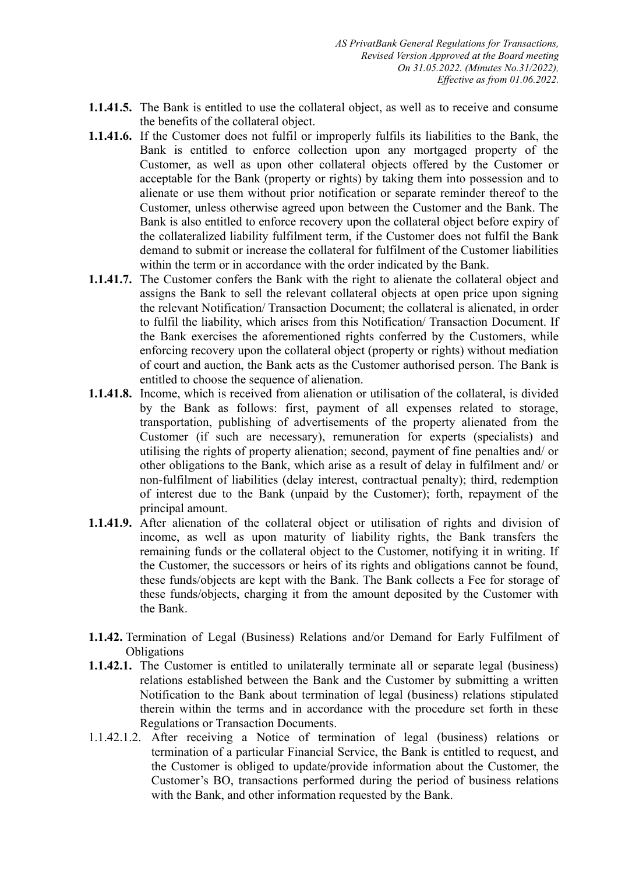- **1.1.41.5.** The Bank is entitled to use the collateral object, as well as to receive and consume the benefits of the collateral object.
- **1.1.41.6.** If the Customer does not fulfil or improperly fulfils its liabilities to the Bank, the Bank is entitled to enforce collection upon any mortgaged property of the Customer, as well as upon other collateral objects offered by the Customer or acceptable for the Bank (property or rights) by taking them into possession and to alienate or use them without prior notification or separate reminder thereof to the Customer, unless otherwise agreed upon between the Customer and the Bank. The Bank is also entitled to enforce recovery upon the collateral object before expiry of the collateralized liability fulfilment term, if the Customer does not fulfil the Bank demand to submit or increase the collateral for fulfilment of the Customer liabilities within the term or in accordance with the order indicated by the Bank.
- **1.1.41.7.** The Customer confers the Bank with the right to alienate the collateral object and assigns the Bank to sell the relevant collateral objects at open price upon signing the relevant Notification/ Transaction Document; the collateral is alienated, in order to fulfil the liability, which arises from this Notification/ Transaction Document. If the Bank exercises the aforementioned rights conferred by the Customers, while enforcing recovery upon the collateral object (property or rights) without mediation of court and auction, the Bank acts as the Customer authorised person. The Bank is entitled to choose the sequence of alienation.
- **1.1.41.8.** Income, which is received from alienation or utilisation of the collateral, is divided by the Bank as follows: first, payment of all expenses related to storage, transportation, publishing of advertisements of the property alienated from the Customer (if such are necessary), remuneration for experts (specialists) and utilising the rights of property alienation; second, payment of fine penalties and/ or other obligations to the Bank, which arise as a result of delay in fulfilment and/ or non-fulfilment of liabilities (delay interest, contractual penalty); third, redemption of interest due to the Bank (unpaid by the Customer); forth, repayment of the principal amount.
- **1.1.41.9.** After alienation of the collateral object or utilisation of rights and division of income, as well as upon maturity of liability rights, the Bank transfers the remaining funds or the collateral object to the Customer, notifying it in writing. If the Customer, the successors or heirs of its rights and obligations cannot be found, these funds/objects are kept with the Bank. The Bank collects a Fee for storage of these funds/objects, charging it from the amount deposited by the Customer with the Bank.
- **1.1.42.** Termination of Legal (Business) Relations and/or Demand for Early Fulfilment of **Obligations**
- **1.1.42.1.** The Customer is entitled to unilaterally terminate all or separate legal (business) relations established between the Bank and the Customer by submitting a written Notification to the Bank about termination of legal (business) relations stipulated therein within the terms and in accordance with the procedure set forth in these Regulations or Transaction Documents.
- 1.1.42.1.2. After receiving a Notice of termination of legal (business) relations or termination of a particular Financial Service, the Bank is entitled to request, and the Customer is obliged to update/provide information about the Customer, the Customer's BO, transactions performed during the period of business relations with the Bank, and other information requested by the Bank.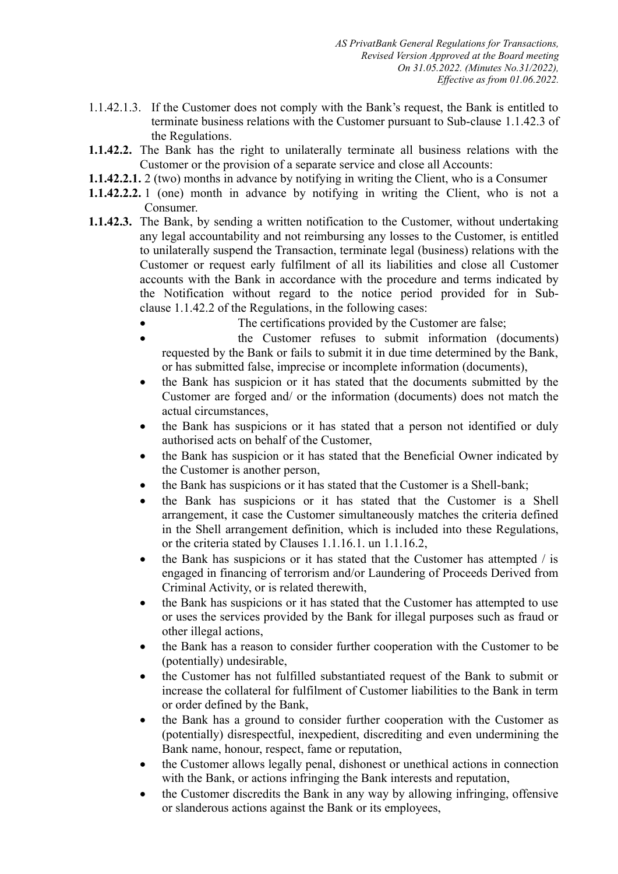- 1.1.42.1.3. If the Customer does not comply with the Bank's request, the Bank is entitled to terminate business relations with the Customer pursuant to Sub-clause 1.1.42.3 of the Regulations.
- **1.1.42.2.** The Bank has the right to unilaterally terminate all business relations with the Customer or the provision of a separate service and close all Accounts:
- **1.1.42.2.1.** 2 (two) months in advance by notifying in writing the Client, who is a Consumer
- **1.1.42.2.2.** 1 (one) month in advance by notifying in writing the Client, who is not a Consumer.
- **1.1.42.3.** The Bank, by sending a written notification to the Customer, without undertaking any legal accountability and not reimbursing any losses to the Customer, is entitled to unilaterally suspend the Transaction, terminate legal (business) relations with the Customer or request early fulfilment of all its liabilities and close all Customer accounts with the Bank in accordance with the procedure and terms indicated by the Notification without regard to the notice period provided for in Subclause 1.1.42.2 of the Regulations, in the following cases:
	- The certifications provided by the Customer are false;
	- the Customer refuses to submit information (documents) requested by the Bank or fails to submit it in due time determined by the Bank, or has submitted false, imprecise or incomplete information (documents),
	- the Bank has suspicion or it has stated that the documents submitted by the Customer are forged and/ or the information (documents) does not match the actual circumstances,
	- the Bank has suspicions or it has stated that a person not identified or duly authorised acts on behalf of the Customer,
	- the Bank has suspicion or it has stated that the Beneficial Owner indicated by the Customer is another person,
	- the Bank has suspicions or it has stated that the Customer is a Shell-bank;
	- the Bank has suspicions or it has stated that the Customer is a Shell arrangement, it case the Customer simultaneously matches the criteria defined in the Shell arrangement definition, which is included into these Regulations, or the criteria stated by Clauses 1.1.16.1. un 1.1.16.2,
	- $\bullet$  the Bank has suspicions or it has stated that the Customer has attempted / is engaged in financing of terrorism and/or Laundering of Proceeds Derived from Criminal Activity, or is related therewith,
	- the Bank has suspicions or it has stated that the Customer has attempted to use or uses the services provided by the Bank for illegal purposes such as fraud or other illegal actions,
	- the Bank has a reason to consider further cooperation with the Customer to be (potentially) undesirable,
	- the Customer has not fulfilled substantiated request of the Bank to submit or increase the collateral for fulfilment of Customer liabilities to the Bank in term or order defined by the Bank,
	- the Bank has a ground to consider further cooperation with the Customer as (potentially) disrespectful, inexpedient, discrediting and even undermining the Bank name, honour, respect, fame or reputation,
	- the Customer allows legally penal, dishonest or unethical actions in connection with the Bank, or actions infringing the Bank interests and reputation,
	- the Customer discredits the Bank in any way by allowing infringing, offensive or slanderous actions against the Bank or its employees,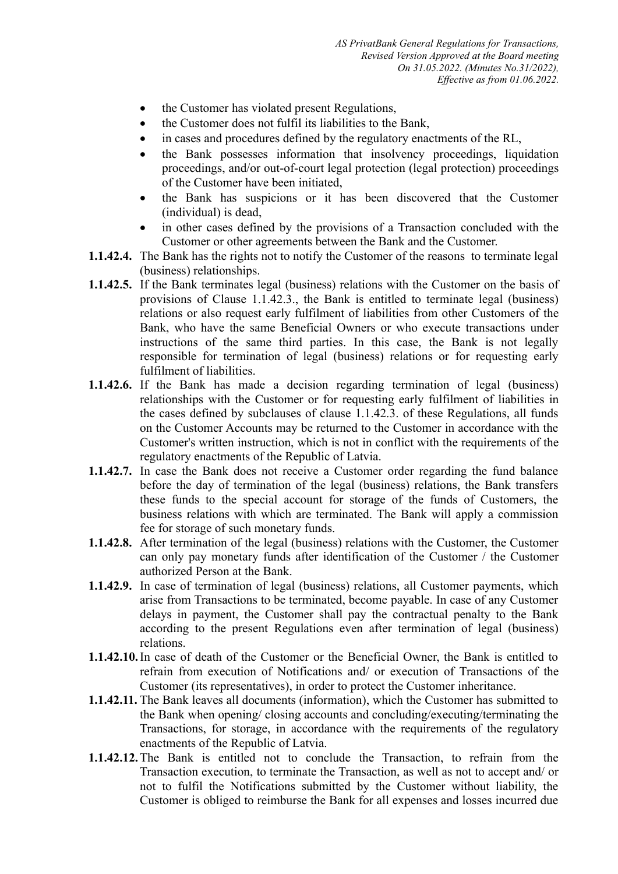- the Customer has violated present Regulations,
- the Customer does not fulfil its liabilities to the Bank,
- in cases and procedures defined by the regulatory enactments of the RL,
- the Bank possesses information that insolvency proceedings, liquidation proceedings, and/or out-of-court legal protection (legal protection) proceedings of the Customer have been initiated,
- the Bank has suspicions or it has been discovered that the Customer (individual) is dead,
- in other cases defined by the provisions of a Transaction concluded with the Customer or other agreements between the Bank and the Customer.
- **1.1.42.4.** The Bank has the rights not to notify the Customer of the reasons to terminate legal (business) relationships.
- **1.1.42.5.** If the Bank terminates legal (business) relations with the Customer on the basis of provisions of Clause 1.1.42.3., the Bank is entitled to terminate legal (business) relations or also request early fulfilment of liabilities from other Customers of the Bank, who have the same Beneficial Owners or who execute transactions under instructions of the same third parties. In this case, the Bank is not legally responsible for termination of legal (business) relations or for requesting early fulfilment of liabilities.
- **1.1.42.6.** If the Bank has made a decision regarding termination of legal (business) relationships with the Customer or for requesting early fulfilment of liabilities in the cases defined by subclauses of clause 1.1.42.3. of these Regulations, all funds on the Customer Accounts may be returned to the Customer in accordance with the Customer's written instruction, which is not in conflict with the requirements of the regulatory enactments of the Republic of Latvia.
- **1.1.42.7.** In case the Bank does not receive a Customer order regarding the fund balance before the day of termination of the legal (business) relations, the Bank transfers these funds to the special account for storage of the funds of Customers, the business relations with which are terminated. The Bank will apply a commission fee for storage of such monetary funds.
- **1.1.42.8.** After termination of the legal (business) relations with the Customer, the Customer can only pay monetary funds after identification of the Customer / the Customer authorized Person at the Bank.
- **1.1.42.9.** In case of termination of legal (business) relations, all Customer payments, which arise from Transactions to be terminated, become payable. In case of any Customer delays in payment, the Customer shall pay the contractual penalty to the Bank according to the present Regulations even after termination of legal (business) relations.
- **1.1.42.10.**In case of death of the Customer or the Beneficial Owner, the Bank is entitled to refrain from execution of Notifications and/ or execution of Transactions of the Customer (its representatives), in order to protect the Customer inheritance.
- **1.1.42.11.** The Bank leaves all documents (information), which the Customer has submitted to the Bank when opening/ closing accounts and concluding/executing/terminating the Transactions, for storage, in accordance with the requirements of the regulatory enactments of the Republic of Latvia.
- **1.1.42.12.**The Bank is entitled not to conclude the Transaction, to refrain from the Transaction execution, to terminate the Transaction, as well as not to accept and/ or not to fulfil the Notifications submitted by the Customer without liability, the Customer is obliged to reimburse the Bank for all expenses and losses incurred due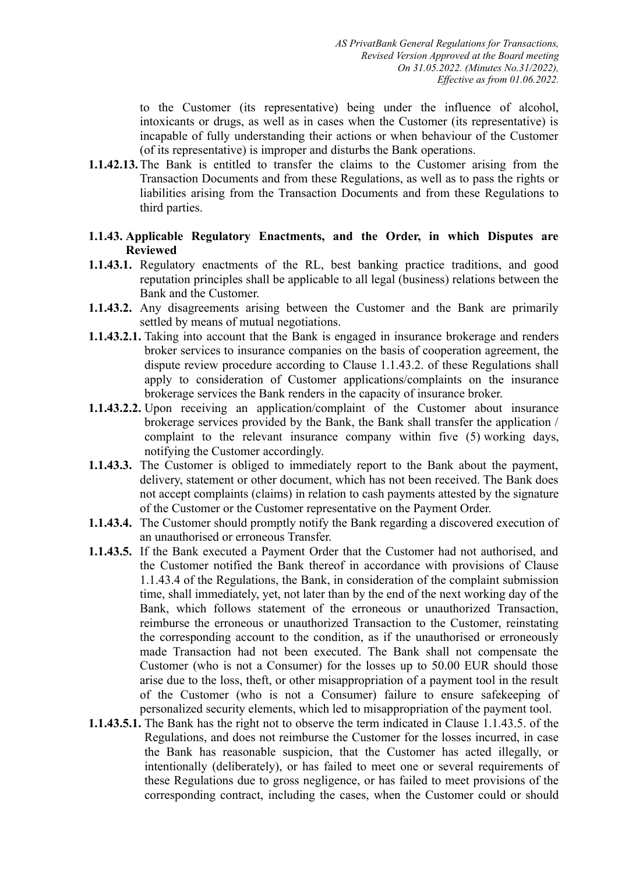to the Customer (its representative) being under the influence of alcohol, intoxicants or drugs, as well as in cases when the Customer (its representative) is incapable of fully understanding their actions or when behaviour of the Customer (of its representative) is improper and disturbs the Bank operations.

- **1.1.42.13.**The Bank is entitled to transfer the claims to the Customer arising from the Transaction Documents and from these Regulations, as well as to pass the rights or liabilities arising from the Transaction Documents and from these Regulations to third parties.
- **1.1.43. Applicable Regulatory Enactments, and the Order, in which Disputes are Reviewed**
- **1.1.43.1.** Regulatory enactments of the RL, best banking practice traditions, and good reputation principles shall be applicable to all legal (business) relations between the Bank and the Customer.
- **1.1.43.2.** Any disagreements arising between the Customer and the Bank are primarily settled by means of mutual negotiations.
- **1.1.43.2.1.** Taking into account that the Bank is engaged in insurance brokerage and renders broker services to insurance companies on the basis of cooperation agreement, the dispute review procedure according to Clause 1.1.43.2. of these Regulations shall apply to consideration of Customer applications/complaints on the insurance brokerage services the Bank renders in the capacity of insurance broker.
- **1.1.43.2.2.** Upon receiving an application/complaint of the Customer about insurance brokerage services provided by the Bank, the Bank shall transfer the application / complaint to the relevant insurance company within five (5) working days, notifying the Customer accordingly.
- **1.1.43.3.** The Customer is obliged to immediately report to the Bank about the payment, delivery, statement or other document, which has not been received. The Bank does not accept complaints (claims) in relation to cash payments attested by the signature of the Customer or the Customer representative on the Payment Order.
- **1.1.43.4.** The Customer should promptly notify the Bank regarding a discovered execution of an unauthorised or erroneous Transfer.
- **1.1.43.5.** If the Bank executed a Payment Order that the Customer had not authorised, and the Customer notified the Bank thereof in accordance with provisions of Clause 1.1.43.4 of the Regulations, the Bank, in consideration of the complaint submission time, shall immediately, yet, not later than by the end of the next working day of the Bank, which follows statement of the erroneous or unauthorized Transaction, reimburse the erroneous or unauthorized Transaction to the Customer, reinstating the corresponding account to the condition, as if the unauthorised or erroneously made Transaction had not been executed. The Bank shall not compensate the Customer (who is not a Consumer) for the losses up to 50.00 EUR should those arise due to the loss, theft, or other misappropriation of a payment tool in the result of the Customer (who is not a Consumer) failure to ensure safekeeping of personalized security elements, which led to misappropriation of the payment tool.
- **1.1.43.5.1.** The Bank has the right not to observe the term indicated in Clause 1.1.43.5. of the Regulations, and does not reimburse the Customer for the losses incurred, in case the Bank has reasonable suspicion, that the Customer has acted illegally, or intentionally (deliberately), or has failed to meet one or several requirements of these Regulations due to gross negligence, or has failed to meet provisions of the corresponding contract, including the cases, when the Customer could or should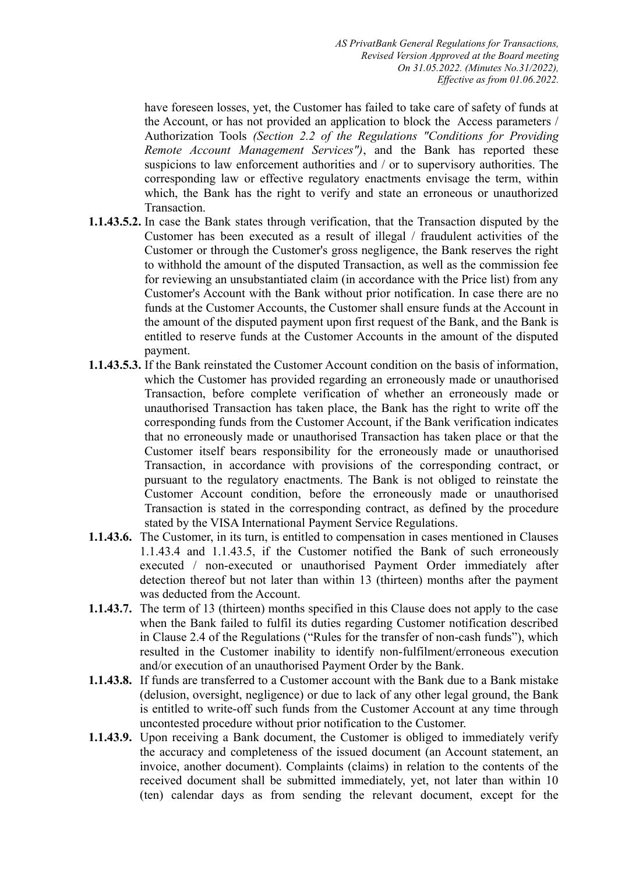*AS PrivatBank General Regulations for Transactions, Revised Version Approved at the Board meeting On 31.05.2022. (Minutes No.31/2022), Effective as from 01.06.2022.* 

have foreseen losses, yet, the Customer has failed to take care of safety of funds at the Account, or has not provided an application to block the Access parameters / Authorization Tools *(Section 2.2 of the Regulations "Conditions for Providing Remote Account Management Services")*, and the Bank has reported these suspicions to law enforcement authorities and / or to supervisory authorities. The corresponding law or effective regulatory enactments envisage the term, within which, the Bank has the right to verify and state an erroneous or unauthorized Transaction.

- **1.1.43.5.2.** In case the Bank states through verification, that the Transaction disputed by the Customer has been executed as a result of illegal / fraudulent activities of the Customer or through the Customer's gross negligence, the Bank reserves the right to withhold the amount of the disputed Transaction, as well as the commission fee for reviewing an unsubstantiated claim (in accordance with the Price list) from any Customer's Account with the Bank without prior notification. In case there are no funds at the Customer Accounts, the Customer shall ensure funds at the Account in the amount of the disputed payment upon first request of the Bank, and the Bank is entitled to reserve funds at the Customer Accounts in the amount of the disputed payment.
- **1.1.43.5.3.** If the Bank reinstated the Customer Account condition on the basis of information, which the Customer has provided regarding an erroneously made or unauthorised Transaction, before complete verification of whether an erroneously made or unauthorised Transaction has taken place, the Bank has the right to write off the corresponding funds from the Customer Account, if the Bank verification indicates that no erroneously made or unauthorised Transaction has taken place or that the Customer itself bears responsibility for the erroneously made or unauthorised Transaction, in accordance with provisions of the corresponding contract, or pursuant to the regulatory enactments. The Bank is not obliged to reinstate the Customer Account condition, before the erroneously made or unauthorised Transaction is stated in the corresponding contract, as defined by the procedure stated by the VISA International Payment Service Regulations.
- **1.1.43.6.** The Customer, in its turn, is entitled to compensation in cases mentioned in Clauses 1.1.43.4 and 1.1.43.5, if the Customer notified the Bank of such erroneously executed / non-executed or unauthorised Payment Order immediately after detection thereof but not later than within 13 (thirteen) months after the payment was deducted from the Account.
- **1.1.43.7.** The term of 13 (thirteen) months specified in this Clause does not apply to the case when the Bank failed to fulfil its duties regarding Customer notification described in Clause 2.4 of the Regulations ("Rules for the transfer of non-cash funds"), which resulted in the Customer inability to identify non-fulfilment/erroneous execution and/or execution of an unauthorised Payment Order by the Bank.
- **1.1.43.8.** If funds are transferred to a Customer account with the Bank due to a Bank mistake (delusion, oversight, negligence) or due to lack of any other legal ground, the Bank is entitled to write-off such funds from the Customer Account at any time through uncontested procedure without prior notification to the Customer.
- **1.1.43.9.** Upon receiving a Bank document, the Customer is obliged to immediately verify the accuracy and completeness of the issued document (an Account statement, an invoice, another document). Complaints (claims) in relation to the contents of the received document shall be submitted immediately, yet, not later than within 10 (ten) calendar days as from sending the relevant document, except for the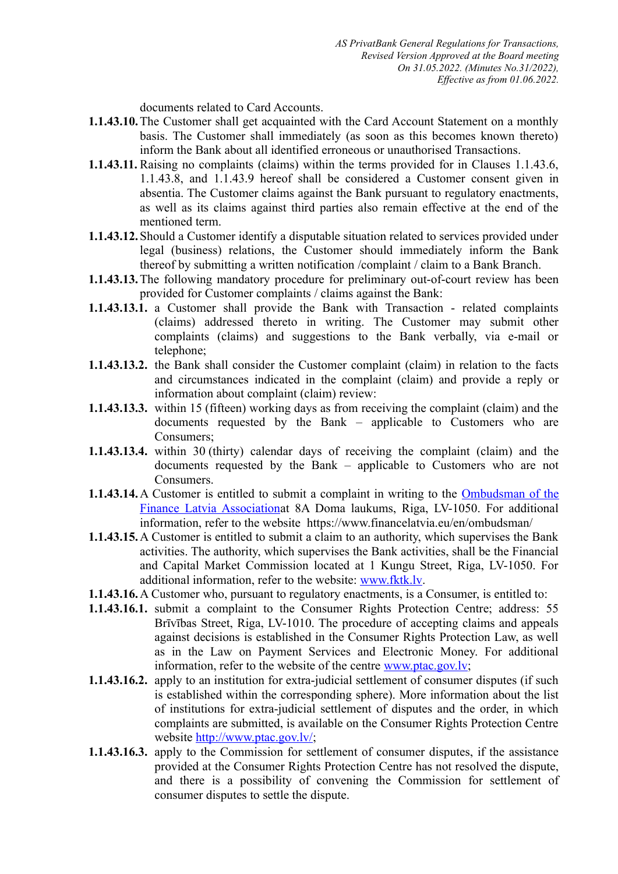documents related to Card Accounts.

- **1.1.43.10.**The Customer shall get acquainted with the Card Account Statement on a monthly basis. The Customer shall immediately (as soon as this becomes known thereto) inform the Bank about all identified erroneous or unauthorised Transactions.
- **1.1.43.11.** Raising no complaints (claims) within the terms provided for in Clauses 1.1.43.6, 1.1.43.8, and 1.1.43.9 hereof shall be considered a Customer consent given in absentia. The Customer claims against the Bank pursuant to regulatory enactments, as well as its claims against third parties also remain effective at the end of the mentioned term.
- **1.1.43.12.**Should a Customer identify a disputable situation related to services provided under legal (business) relations, the Customer should immediately inform the Bank thereof by submitting a written notification /complaint / claim to a Bank Branch.
- **1.1.43.13.**The following mandatory procedure for preliminary out-of-court review has been provided for Customer complaints / claims against the Bank:
- **1.1.43.13.1.** a Customer shall provide the Bank with Transaction related complaints (claims) addressed thereto in writing. The Customer may submit other complaints (claims) and suggestions to the Bank verbally, via e-mail or telephone;
- **1.1.43.13.2.** the Bank shall consider the Customer complaint (claim) in relation to the facts and circumstances indicated in the complaint (claim) and provide a reply or information about complaint (claim) review:
- **1.1.43.13.3.** within 15 (fifteen) working days as from receiving the complaint (claim) and the documents requested by the Bank – applicable to Customers who are Consumers;
- **1.1.43.13.4.** within 30 (thirty) calendar days of receiving the complaint (claim) and the documents requested by the Bank – applicable to Customers who are not Consumers.
- **1.1.43.14.**A Customer is entitled to submit a complaint in writing to the [Ombudsman of the](https://www.financelatvia.eu/wp-content/uploads/2018/09/Ombudsman-of-the-Finance-Latvia-Association_infopage.pdf) [Finance Latvia Association](https://www.financelatvia.eu/wp-content/uploads/2018/09/Ombudsman-of-the-Finance-Latvia-Association_infopage.pdf)at 8A Doma laukums, Riga, LV-1050. For additional information, refer to the website https://www.financelatvia.eu/en/ombudsman/
- **1.1.43.15.**A Customer is entitled to submit a claim to an authority, which supervises the Bank activities. The authority, which supervises the Bank activities, shall be the Financial and Capital Market Commission located at 1 Kungu Street, Riga, LV-1050. For additional information, refer to the website: [www.fktk.lv](http://www.fktk.lv/).
- **1.1.43.16.**A Customer who, pursuant to regulatory enactments, is a Consumer, is entitled to:
- **1.1.43.16.1.** submit a complaint to the Consumer Rights Protection Centre; address: 55 Brīvības Street, Riga, LV-1010. The procedure of accepting claims and appeals against decisions is established in the Consumer Rights Protection Law, as well as in the Law on Payment Services and Electronic Money. For additional information, refer to the website of the centre [www.ptac.gov.lv;](http://www.ptac.gov.lv/)
- **1.1.43.16.2.** apply to an institution for extra-judicial settlement of consumer disputes (if such is established within the corresponding sphere). More information about the list of institutions for extra-judicial settlement of disputes and the order, in which complaints are submitted, is available on the Consumer Rights Protection Centre website<http://www.ptac.gov.lv/>;
- **1.1.43.16.3.** apply to the Commission for settlement of consumer disputes, if the assistance provided at the Consumer Rights Protection Centre has not resolved the dispute, and there is a possibility of convening the Commission for settlement of consumer disputes to settle the dispute.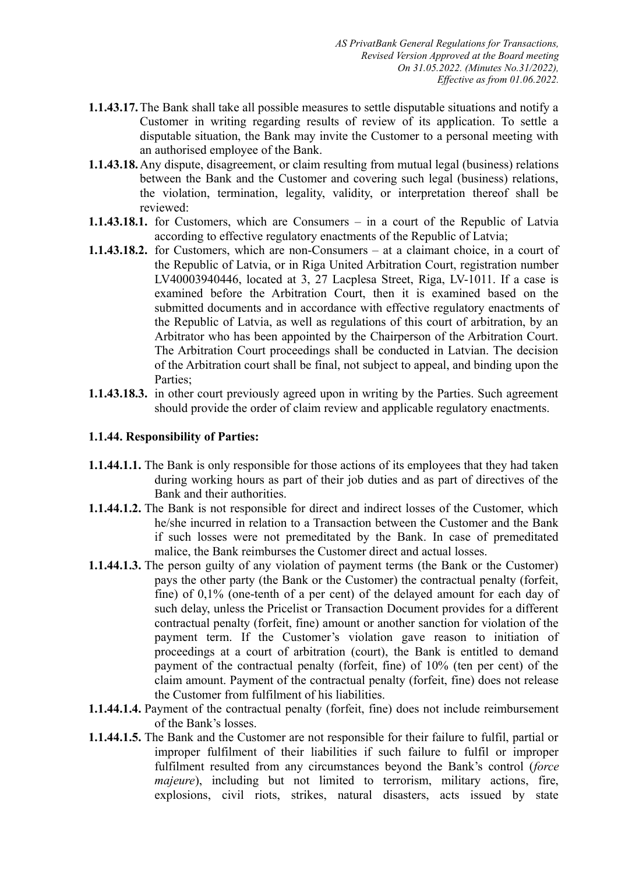- **1.1.43.17.**The Bank shall take all possible measures to settle disputable situations and notify a Customer in writing regarding results of review of its application. To settle a disputable situation, the Bank may invite the Customer to a personal meeting with an authorised employee of the Bank.
- **1.1.43.18.**Any dispute, disagreement, or claim resulting from mutual legal (business) relations between the Bank and the Customer and covering such legal (business) relations, the violation, termination, legality, validity, or interpretation thereof shall be reviewed:
- **1.1.43.18.1.** for Customers, which are Consumers in a court of the Republic of Latvia according to effective regulatory enactments of the Republic of Latvia;
- **1.1.43.18.2.** for Customers, which are non-Consumers at a claimant choice, in a court of the Republic of Latvia, or in Riga United Arbitration Court, registration number LV40003940446, located at 3, 27 Lacplesa Street, Riga, LV-1011. If a case is examined before the Arbitration Court, then it is examined based on the submitted documents and in accordance with effective regulatory enactments of the Republic of Latvia, as well as regulations of this court of arbitration, by an Arbitrator who has been appointed by the Chairperson of the Arbitration Court. The Arbitration Court proceedings shall be conducted in Latvian. The decision of the Arbitration court shall be final, not subject to appeal, and binding upon the Parties;
- **1.1.43.18.3.** in other court previously agreed upon in writing by the Parties. Such agreement should provide the order of claim review and applicable regulatory enactments.

# **1.1.44. Responsibility of Parties:**

- **1.1.44.1.1.** The Bank is only responsible for those actions of its employees that they had taken during working hours as part of their job duties and as part of directives of the Bank and their authorities.
- **1.1.44.1.2.** The Bank is not responsible for direct and indirect losses of the Customer, which he/she incurred in relation to a Transaction between the Customer and the Bank if such losses were not premeditated by the Bank. In case of premeditated malice, the Bank reimburses the Customer direct and actual losses.
- **1.1.44.1.3.** The person guilty of any violation of payment terms (the Bank or the Customer) pays the other party (the Bank or the Customer) the contractual penalty (forfeit, fine) of 0,1% (one-tenth of a per cent) of the delayed amount for each day of such delay, unless the Pricelist or Transaction Document provides for a different contractual penalty (forfeit, fine) amount or another sanction for violation of the payment term. If the Customer's violation gave reason to initiation of proceedings at a court of arbitration (court), the Bank is entitled to demand payment of the contractual penalty (forfeit, fine) of 10% (ten per cent) of the claim amount. Payment of the contractual penalty (forfeit, fine) does not release the Customer from fulfilment of his liabilities.
- **1.1.44.1.4.** Payment of the contractual penalty (forfeit, fine) does not include reimbursement of the Bank's losses.
- **1.1.44.1.5.** The Bank and the Customer are not responsible for their failure to fulfil, partial or improper fulfilment of their liabilities if such failure to fulfil or improper fulfilment resulted from any circumstances beyond the Bank's control (*force majeure*), including but not limited to terrorism, military actions, fire, explosions, civil riots, strikes, natural disasters, acts issued by state